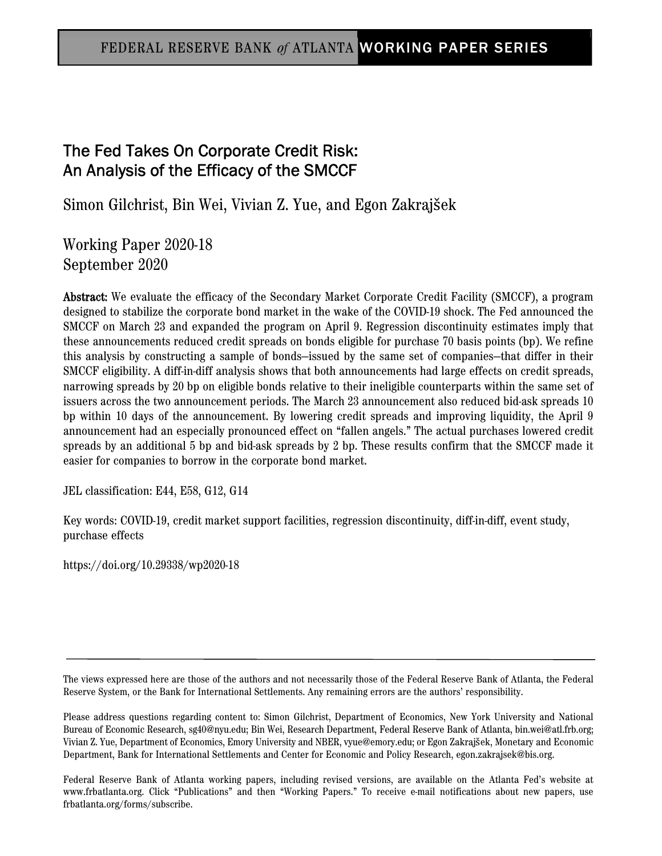# FEDERAL RESERVE BANK o*f* ATLANTA WORKING PAPER SERIES

# The Fed Takes On Corporate Credit Risk: An Analysis of the Efficacy of the SMCCF

Simon Gilchrist, Bin Wei, Vivian Z. Yue, and Egon Zakrajšek

Working Paper 2020-18 September 2020

Abstract: We evaluate the efficacy of the Secondary Market Corporate Credit Facility (SMCCF), a program designed to stabilize the corporate bond market in the wake of the COVID-19 shock. The Fed announced the SMCCF on March 23 and expanded the program on April 9. Regression discontinuity estimates imply that these announcements reduced credit spreads on bonds eligible for purchase 70 basis points (bp). We refine this analysis by constructing a sample of bonds—issued by the same set of companies—that differ in their SMCCF eligibility. A diff-in-diff analysis shows that both announcements had large effects on credit spreads, narrowing spreads by 20 bp on eligible bonds relative to their ineligible counterparts within the same set of issuers across the two announcement periods. The March 23 announcement also reduced bid-ask spreads 10 bp within 10 days of the announcement. By lowering credit spreads and improving liquidity, the April 9 announcement had an especially pronounced effect on "fallen angels." The actual purchases lowered credit spreads by an additional 5 bp and bid-ask spreads by 2 bp. These results confirm that the SMCCF made it easier for companies to borrow in the corporate bond market.

JEL classification: E44, E58, G12, G14

Key words: COVID-19, credit market support facilities, regression discontinuity, diff-in-diff, event study, purchase effects

https://doi.org/10.29338/wp2020-18

The views expressed here are those of the authors and not necessarily those of the Federal Reserve Bank of Atlanta, the Federal Reserve System, or the Bank for International Settlements. Any remaining errors are the authors' responsibility.

Please address questions regarding content to: Simon Gilchrist, Department of Economics, New York University and National Bureau of Economic Research, sg40@nyu.edu; Bin Wei, Research Department, Federal Reserve Bank of Atlanta, bin.wei@atl.frb.org; Vivian Z. Yue, Department of Economics, Emory University and NBER, vyue@emory.edu; or Egon Zakrajšek, Monetary and Economic Department, Bank for International Settlements and Center for Economic and Policy Research, egon.zakrajsek@bis.org.

Federal Reserve Bank of Atlanta working papers, including revised versions, are available on the Atlanta Fed's website at www.frbatlanta.org. Click "Publications" and then "Working Papers." To receive e-mail notifications about new papers, use frbatlanta.org/forms/subscribe.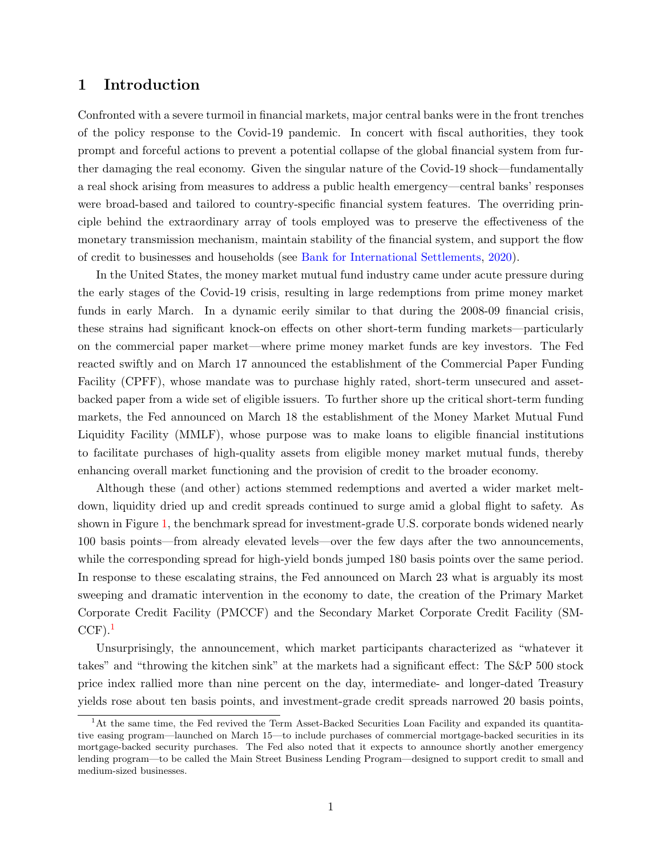#### 1 Introduction

Confronted with a severe turmoil in financial markets, major central banks were in the front trenches of the policy response to the Covid-19 pandemic. In concert with fiscal authorities, they took prompt and forceful actions to prevent a potential collapse of the global financial system from further damaging the real economy. Given the singular nature of the Covid-19 shock—fundamentally a real shock arising from measures to address a public health emergency—central banks' responses were broad-based and tailored to country-specific financial system features. The overriding principle behind the extraordinary array of tools employed was to preserve the effectiveness of the monetary transmission mechanism, maintain stability of the financial system, and support the flow of credit to businesses and households (see [Bank for International Settlements](#page-31-0), [2020\)](#page-31-0).

In the United States, the money market mutual fund industry came under acute pressure during the early stages of the Covid-19 crisis, resulting in large redemptions from prime money market funds in early March. In a dynamic eerily similar to that during the 2008-09 financial crisis, these strains had significant knock-on effects on other short-term funding markets—particularly on the commercial paper market—where prime money market funds are key investors. The Fed reacted swiftly and on March 17 announced the establishment of the Commercial Paper Funding Facility (CPFF), whose mandate was to purchase highly rated, short-term unsecured and assetbacked paper from a wide set of eligible issuers. To further shore up the critical short-term funding markets, the Fed announced on March 18 the establishment of the Money Market Mutual Fund Liquidity Facility (MMLF), whose purpose was to make loans to eligible financial institutions to facilitate purchases of high-quality assets from eligible money market mutual funds, thereby enhancing overall market functioning and the provision of credit to the broader economy.

Although these (and other) actions stemmed redemptions and averted a wider market meltdown, liquidity dried up and credit spreads continued to surge amid a global flight to safety. As shown in Figure [1,](#page-2-0) the benchmark spread for investment-grade U.S. corporate bonds widened nearly 100 basis points—from already elevated levels—over the few days after the two announcements, while the corresponding spread for high-yield bonds jumped 180 basis points over the same period. In response to these escalating strains, the Fed announced on March 23 what is arguably its most sweeping and dramatic intervention in the economy to date, the creation of the Primary Market Corporate Credit Facility (PMCCF) and the Secondary Market Corporate Credit Facility (SM- $CCF$ ).<sup>[1](#page-1-0)</sup>

Unsurprisingly, the announcement, which market participants characterized as "whatever it takes" and "throwing the kitchen sink" at the markets had a significant effect: The S&P 500 stock price index rallied more than nine percent on the day, intermediate- and longer-dated Treasury yields rose about ten basis points, and investment-grade credit spreads narrowed 20 basis points,

<span id="page-1-0"></span><sup>1</sup>At the same time, the Fed revived the Term Asset-Backed Securities Loan Facility and expanded its quantitative easing program—launched on March 15—to include purchases of commercial mortgage-backed securities in its mortgage-backed security purchases. The Fed also noted that it expects to announce shortly another emergency lending program—to be called the Main Street Business Lending Program—designed to support credit to small and medium-sized businesses.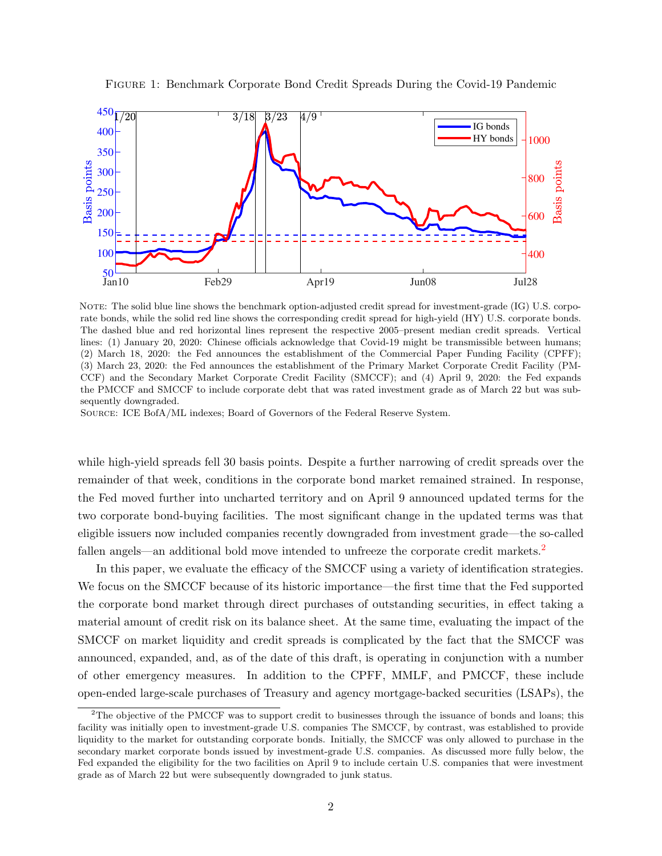

<span id="page-2-0"></span>Figure 1: Benchmark Corporate Bond Credit Spreads During the Covid-19 Pandemic

NOTE: The solid blue line shows the benchmark option-adjusted credit spread for investment-grade (IG) U.S. corporate bonds, while the solid red line shows the corresponding credit spread for high-yield (HY) U.S. corporate bonds. The dashed blue and red horizontal lines represent the respective 2005–present median credit spreads. Vertical lines: (1) January 20, 2020: Chinese officials acknowledge that Covid-19 might be transmissible between humans; (2) March 18, 2020: the Fed announces the establishment of the Commercial Paper Funding Facility (CPFF); (3) March 23, 2020: the Fed announces the establishment of the Primary Market Corporate Credit Facility (PM-CCF) and the Secondary Market Corporate Credit Facility (SMCCF); and (4) April 9, 2020: the Fed expands the PMCCF and SMCCF to include corporate debt that was rated investment grade as of March 22 but was subsequently downgraded.

Source: ICE BofA/ML indexes; Board of Governors of the Federal Reserve System.

while high-yield spreads fell 30 basis points. Despite a further narrowing of credit spreads over the remainder of that week, conditions in the corporate bond market remained strained. In response, the Fed moved further into uncharted territory and on April 9 announced updated terms for the two corporate bond-buying facilities. The most significant change in the updated terms was that eligible issuers now included companies recently downgraded from investment grade—the so-called fallen angels—an additional bold move intended to unfreeze the corporate credit markets.<sup>[2](#page-2-1)</sup>

In this paper, we evaluate the efficacy of the SMCCF using a variety of identification strategies. We focus on the SMCCF because of its historic importance—the first time that the Fed supported the corporate bond market through direct purchases of outstanding securities, in effect taking a material amount of credit risk on its balance sheet. At the same time, evaluating the impact of the SMCCF on market liquidity and credit spreads is complicated by the fact that the SMCCF was announced, expanded, and, as of the date of this draft, is operating in conjunction with a number of other emergency measures. In addition to the CPFF, MMLF, and PMCCF, these include open-ended large-scale purchases of Treasury and agency mortgage-backed securities (LSAPs), the

<span id="page-2-1"></span><sup>&</sup>lt;sup>2</sup>The objective of the PMCCF was to support credit to businesses through the issuance of bonds and loans; this facility was initially open to investment-grade U.S. companies The SMCCF, by contrast, was established to provide liquidity to the market for outstanding corporate bonds. Initially, the SMCCF was only allowed to purchase in the secondary market corporate bonds issued by investment-grade U.S. companies. As discussed more fully below, the Fed expanded the eligibility for the two facilities on April 9 to include certain U.S. companies that were investment grade as of March 22 but were subsequently downgraded to junk status.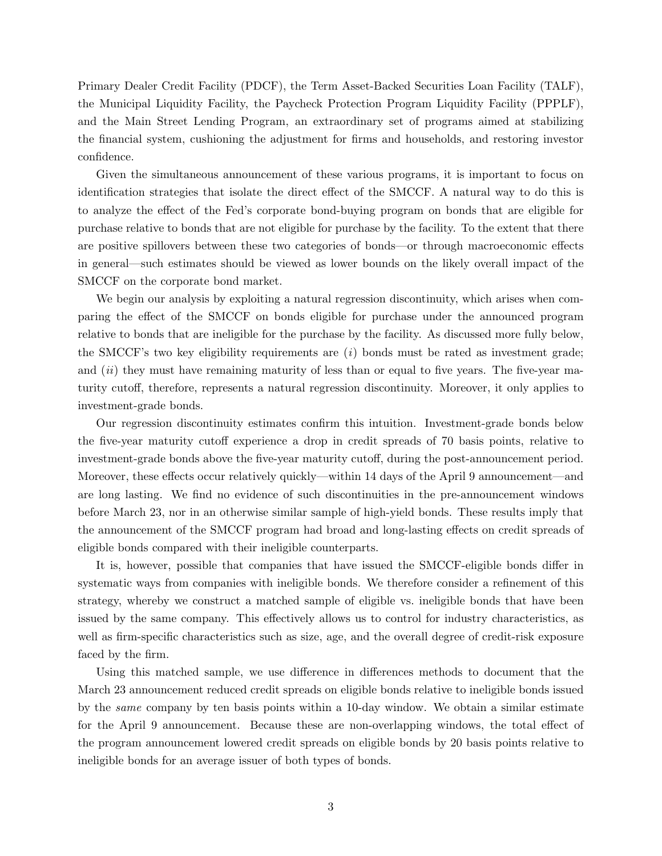Primary Dealer Credit Facility (PDCF), the Term Asset-Backed Securities Loan Facility (TALF), the Municipal Liquidity Facility, the Paycheck Protection Program Liquidity Facility (PPPLF), and the Main Street Lending Program, an extraordinary set of programs aimed at stabilizing the financial system, cushioning the adjustment for firms and households, and restoring investor confidence.

Given the simultaneous announcement of these various programs, it is important to focus on identification strategies that isolate the direct effect of the SMCCF. A natural way to do this is to analyze the effect of the Fed's corporate bond-buying program on bonds that are eligible for purchase relative to bonds that are not eligible for purchase by the facility. To the extent that there are positive spillovers between these two categories of bonds—or through macroeconomic effects in general—such estimates should be viewed as lower bounds on the likely overall impact of the SMCCF on the corporate bond market.

We begin our analysis by exploiting a natural regression discontinuity, which arises when comparing the effect of the SMCCF on bonds eligible for purchase under the announced program relative to bonds that are ineligible for the purchase by the facility. As discussed more fully below, the SMCCF's two key eligibility requirements are  $(i)$  bonds must be rated as investment grade; and  $(ii)$  they must have remaining maturity of less than or equal to five years. The five-year maturity cutoff, therefore, represents a natural regression discontinuity. Moreover, it only applies to investment-grade bonds.

Our regression discontinuity estimates confirm this intuition. Investment-grade bonds below the five-year maturity cutoff experience a drop in credit spreads of 70 basis points, relative to investment-grade bonds above the five-year maturity cutoff, during the post-announcement period. Moreover, these effects occur relatively quickly—within 14 days of the April 9 announcement—and are long lasting. We find no evidence of such discontinuities in the pre-announcement windows before March 23, nor in an otherwise similar sample of high-yield bonds. These results imply that the announcement of the SMCCF program had broad and long-lasting effects on credit spreads of eligible bonds compared with their ineligible counterparts.

It is, however, possible that companies that have issued the SMCCF-eligible bonds differ in systematic ways from companies with ineligible bonds. We therefore consider a refinement of this strategy, whereby we construct a matched sample of eligible vs. ineligible bonds that have been issued by the same company. This effectively allows us to control for industry characteristics, as well as firm-specific characteristics such as size, age, and the overall degree of credit-risk exposure faced by the firm.

Using this matched sample, we use difference in differences methods to document that the March 23 announcement reduced credit spreads on eligible bonds relative to ineligible bonds issued by the same company by ten basis points within a 10-day window. We obtain a similar estimate for the April 9 announcement. Because these are non-overlapping windows, the total effect of the program announcement lowered credit spreads on eligible bonds by 20 basis points relative to ineligible bonds for an average issuer of both types of bonds.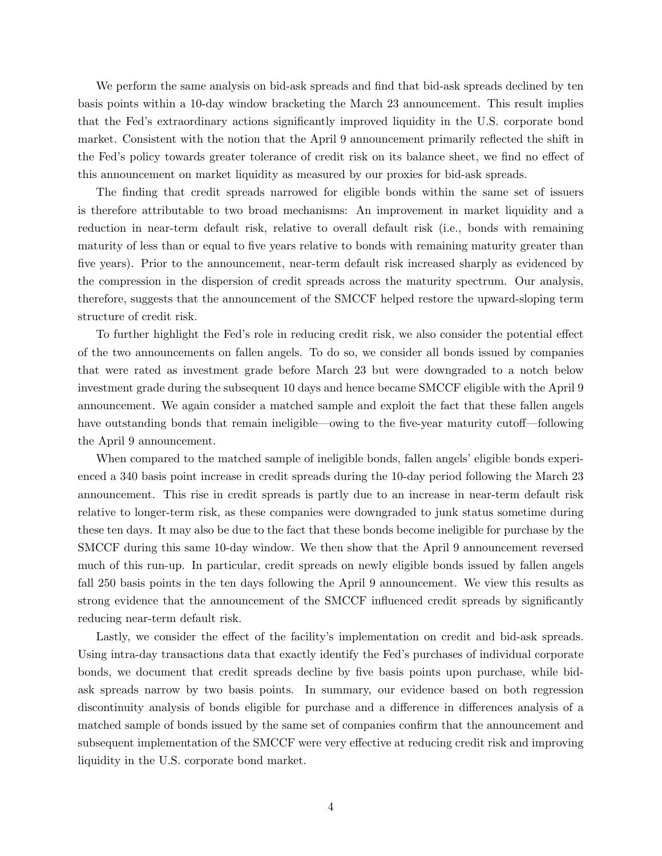We perform the same analysis on bid-ask spreads and find that bid-ask spreads declined by ten basis points within a 10-day window bracketing the March 23 announcement. This result implies that the Fed's extraordinary actions significantly improved liquidity in the U.S. corporate bond market. Consistent with the notion that the April 9 announcement primarily reflected the shift in the Fed's policy towards greater tolerance of credit risk on its balance sheet, we find no effect of this announcement on market liquidity as measured by our proxies for bid-ask spreads.

The finding that credit spreads narrowed for eligible bonds within the same set of issuers is therefore attributable to two broad mechanisms: An improvement in market liquidity and a reduction in near-term default risk, relative to overall default risk (i.e., bonds with remaining maturity of less than or equal to five years relative to bonds with remaining maturity greater than five years). Prior to the announcement, near-term default risk increased sharply as evidenced by the compression in the dispersion of credit spreads across the maturity spectrum. Our analysis, therefore, suggests that the announcement of the SMCCF helped restore the upward-sloping term structure of credit risk.

To further highlight the Fed's role in reducing credit risk, we also consider the potential effect of the two announcements on fallen angels. To do so, we consider all bonds issued by companies that were rated as investment grade before March 23 but were downgraded to a notch below investment grade during the subsequent 10 days and hence became SMCCF eligible with the April 9 announcement. We again consider a matched sample and exploit the fact that these fallen angels have outstanding bonds that remain ineligible—owing to the five-year maturity cutoff—following the April 9 announcement.

When compared to the matched sample of ineligible bonds, fallen angels' eligible bonds experienced a 340 basis point increase in credit spreads during the 10-day period following the March 23 announcement. This rise in credit spreads is partly due to an increase in near-term default risk relative to longer-term risk, as these companies were downgraded to junk status sometime during these ten days. It may also be due to the fact that these bonds become ineligible for purchase by the SMCCF during this same 10-day window. We then show that the April 9 announcement reversed much of this run-up. In particular, credit spreads on newly eligible bonds issued by fallen angels fall 250 basis points in the ten days following the April 9 announcement. We view this results as strong evidence that the announcement of the SMCCF influenced credit spreads by significantly reducing near-term default risk.

Lastly, we consider the effect of the facility's implementation on credit and bid-ask spreads. Using intra-day transactions data that exactly identify the Fed's purchases of individual corporate bonds, we document that credit spreads decline by five basis points upon purchase, while bidask spreads narrow by two basis points. In summary, our evidence based on both regression discontinuity analysis of bonds eligible for purchase and a difference in differences analysis of a matched sample of bonds issued by the same set of companies confirm that the announcement and subsequent implementation of the SMCCF were very effective at reducing credit risk and improving liquidity in the U.S. corporate bond market.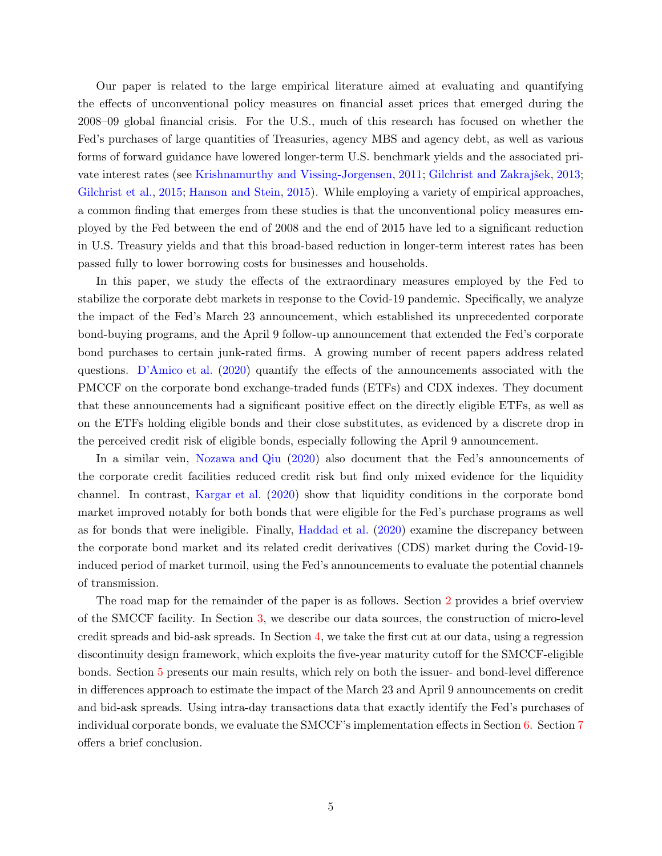Our paper is related to the large empirical literature aimed at evaluating and quantifying the effects of unconventional policy measures on financial asset prices that emerged during the 2008–09 global financial crisis. For the U.S., much of this research has focused on whether the Fed's purchases of large quantities of Treasuries, agency MBS and agency debt, as well as various forms of forward guidance have lowered longer-term U.S. benchmark yields and the associated pri-vate interest rates (see [Krishnamurthy and Vissing-Jorgensen,](#page-32-0) [2011;](#page-32-0) Gilchrist and Zakrajšek, [2013;](#page-32-1) [Gilchrist et al.,](#page-32-2) [2015;](#page-32-2) [Hanson and Stein](#page-32-3), [2015](#page-32-3)). While employing a variety of empirical approaches, a common finding that emerges from these studies is that the unconventional policy measures employed by the Fed between the end of 2008 and the end of 2015 have led to a significant reduction in U.S. Treasury yields and that this broad-based reduction in longer-term interest rates has been passed fully to lower borrowing costs for businesses and households.

In this paper, we study the effects of the extraordinary measures employed by the Fed to stabilize the corporate debt markets in response to the Covid-19 pandemic. Specifically, we analyze the impact of the Fed's March 23 announcement, which established its unprecedented corporate bond-buying programs, and the April 9 follow-up announcement that extended the Fed's corporate bond purchases to certain junk-rated firms. A growing number of recent papers address related questions. [D'Amico et al.](#page-31-1) [\(2020\)](#page-31-1) quantify the effects of the announcements associated with the PMCCF on the corporate bond exchange-traded funds (ETFs) and CDX indexes. They document that these announcements had a significant positive effect on the directly eligible ETFs, as well as on the ETFs holding eligible bonds and their close substitutes, as evidenced by a discrete drop in the perceived credit risk of eligible bonds, especially following the April 9 announcement.

In a similar vein, [Nozawa and Qiu](#page-32-4) [\(2020\)](#page-32-4) also document that the Fed's announcements of the corporate credit facilities reduced credit risk but find only mixed evidence for the liquidity channel. In contrast, [Kargar et al.](#page-32-5) [\(2020\)](#page-32-5) show that liquidity conditions in the corporate bond market improved notably for both bonds that were eligible for the Fed's purchase programs as well as for bonds that were ineligible. Finally, [Haddad et al.](#page-32-6) [\(2020](#page-32-6)) examine the discrepancy between the corporate bond market and its related credit derivatives (CDS) market during the Covid-19 induced period of market turmoil, using the Fed's announcements to evaluate the potential channels of transmission.

The road map for the remainder of the paper is as follows. Section [2](#page-6-0) provides a brief overview of the SMCCF facility. In Section [3,](#page-7-0) we describe our data sources, the construction of micro-level credit spreads and bid-ask spreads. In Section [4,](#page-10-0) we take the first cut at our data, using a regression discontinuity design framework, which exploits the five-year maturity cutoff for the SMCCF-eligible bonds. Section [5](#page-15-0) presents our main results, which rely on both the issuer- and bond-level difference in differences approach to estimate the impact of the March 23 and April 9 announcements on credit and bid-ask spreads. Using intra-day transactions data that exactly identify the Fed's purchases of individual corporate bonds, we evaluate the SMCCF's implementation effects in Section [6.](#page-26-0) Section [7](#page-31-2) offers a brief conclusion.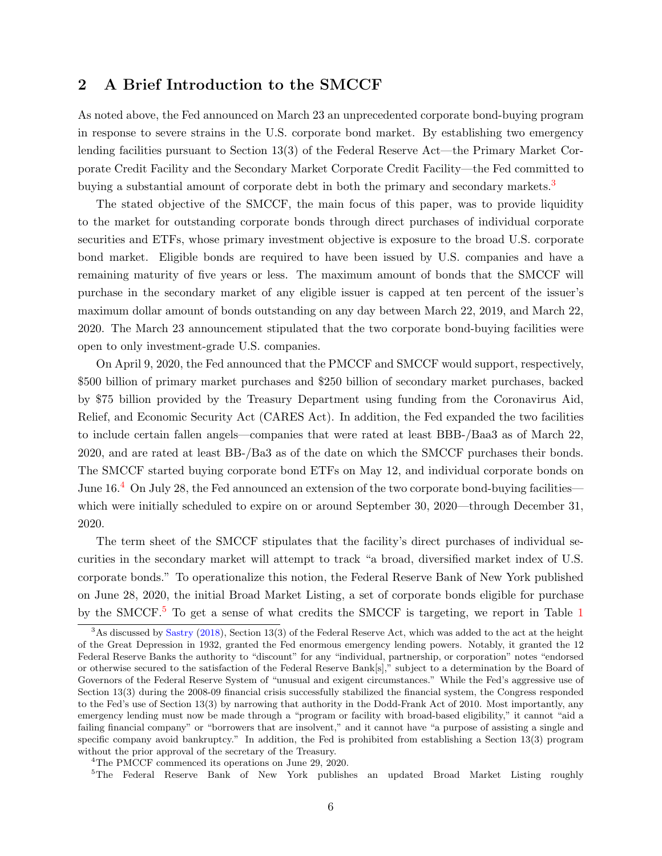## <span id="page-6-0"></span>2 A Brief Introduction to the SMCCF

As noted above, the Fed announced on March 23 an unprecedented corporate bond-buying program in response to severe strains in the U.S. corporate bond market. By establishing two emergency lending facilities pursuant to Section 13(3) of the Federal Reserve Act—the Primary Market Corporate Credit Facility and the Secondary Market Corporate Credit Facility—the Fed committed to buying a substantial amount of corporate debt in both the primary and secondary markets.<sup>[3](#page-6-1)</sup>

The stated objective of the SMCCF, the main focus of this paper, was to provide liquidity to the market for outstanding corporate bonds through direct purchases of individual corporate securities and ETFs, whose primary investment objective is exposure to the broad U.S. corporate bond market. Eligible bonds are required to have been issued by U.S. companies and have a remaining maturity of five years or less. The maximum amount of bonds that the SMCCF will purchase in the secondary market of any eligible issuer is capped at ten percent of the issuer's maximum dollar amount of bonds outstanding on any day between March 22, 2019, and March 22, 2020. The March 23 announcement stipulated that the two corporate bond-buying facilities were open to only investment-grade U.S. companies.

On April 9, 2020, the Fed announced that the PMCCF and SMCCF would support, respectively, \$500 billion of primary market purchases and \$250 billion of secondary market purchases, backed by \$75 billion provided by the Treasury Department using funding from the Coronavirus Aid, Relief, and Economic Security Act (CARES Act). In addition, the Fed expanded the two facilities to include certain fallen angels—companies that were rated at least BBB-/Baa3 as of March 22, 2020, and are rated at least BB-/Ba3 as of the date on which the SMCCF purchases their bonds. The SMCCF started buying corporate bond ETFs on May 12, and individual corporate bonds on June  $16<sup>4</sup>$  $16<sup>4</sup>$  $16<sup>4</sup>$  On July 28, the Fed announced an extension of the two corporate bond-buying facilities which were initially scheduled to expire on or around September 30, 2020—through December 31, 2020.

The term sheet of the SMCCF stipulates that the facility's direct purchases of individual securities in the secondary market will attempt to track "a broad, diversified market index of U.S. corporate bonds." To operationalize this notion, the Federal Reserve Bank of New York published on June 28, 2020, the initial Broad Market Listing, a set of corporate bonds eligible for purchase by the SMCCF.<sup>[5](#page-6-3)</sup> To get a sense of what credits the SMCCF is targeting, we report in Table [1](#page-7-1)

<sup>4</sup>The PMCCF commenced its operations on June 29, 2020.

<span id="page-6-3"></span><span id="page-6-2"></span><sup>5</sup>The Federal Reserve Bank of New York publishes an updated Broad Market Listing roughly

<span id="page-6-1"></span><sup>&</sup>lt;sup>3</sup>As discussed by [Sastry](#page-32-7) [\(2018\)](#page-32-7), Section 13(3) of the Federal Reserve Act, which was added to the act at the height of the Great Depression in 1932, granted the Fed enormous emergency lending powers. Notably, it granted the 12 Federal Reserve Banks the authority to "discount" for any "individual, partnership, or corporation" notes "endorsed or otherwise secured to the satisfaction of the Federal Reserve Bank[s]," subject to a determination by the Board of Governors of the Federal Reserve System of "unusual and exigent circumstances." While the Fed's aggressive use of Section 13(3) during the 2008-09 financial crisis successfully stabilized the financial system, the Congress responded to the Fed's use of Section 13(3) by narrowing that authority in the Dodd-Frank Act of 2010. Most importantly, any emergency lending must now be made through a "program or facility with broad-based eligibility," it cannot "aid a failing financial company" or "borrowers that are insolvent," and it cannot have "a purpose of assisting a single and specific company avoid bankruptcy." In addition, the Fed is prohibited from establishing a Section 13(3) program without the prior approval of the secretary of the Treasury.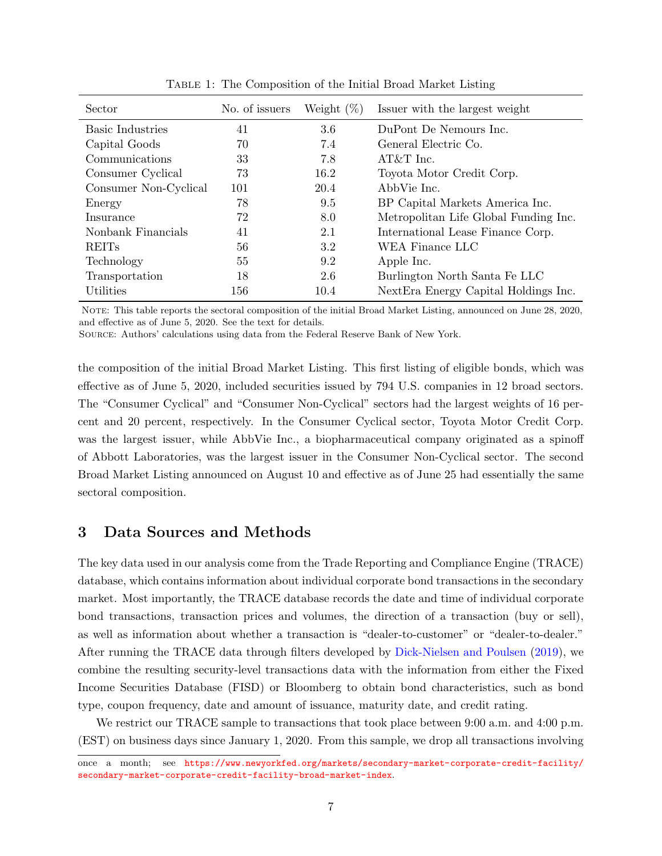<span id="page-7-1"></span>

| Sector                  | No. of issuers | Weight $(\%)$ | Issuer with the largest weight        |
|-------------------------|----------------|---------------|---------------------------------------|
| <b>Basic Industries</b> | 41             | 3.6           | DuPont De Nemours Inc.                |
| Capital Goods           | 70             | 7.4           | General Electric Co.                  |
| Communications          | 33             | 7.8           | AT&T Inc.                             |
| Consumer Cyclical       | 73             | 16.2          | Toyota Motor Credit Corp.             |
| Consumer Non-Cyclical   | 101            | 20.4          | AbbVie Inc.                           |
| Energy                  | 78             | 9.5           | BP Capital Markets America Inc.       |
| Insurance               | 72             | 8.0           | Metropolitan Life Global Funding Inc. |
| Nonbank Financials      | 41             | 2.1           | International Lease Finance Corp.     |
| <b>REITs</b>            | 56             | 3.2           | WEA Finance LLC                       |
| Technology              | 55             | 9.2           | Apple Inc.                            |
| Transportation          | 18             | 2.6           | Burlington North Santa Fe LLC         |
| Utilities               | 156            | 10.4          | Next Era Energy Capital Holdings Inc. |

Table 1: The Composition of the Initial Broad Market Listing

NOTE: This table reports the sectoral composition of the initial Broad Market Listing, announced on June 28, 2020, and effective as of June 5, 2020. See the text for details.

Source: Authors' calculations using data from the Federal Reserve Bank of New York.

the composition of the initial Broad Market Listing. This first listing of eligible bonds, which was effective as of June 5, 2020, included securities issued by 794 U.S. companies in 12 broad sectors. The "Consumer Cyclical" and "Consumer Non-Cyclical" sectors had the largest weights of 16 percent and 20 percent, respectively. In the Consumer Cyclical sector, Toyota Motor Credit Corp. was the largest issuer, while AbbVie Inc., a biopharmaceutical company originated as a spinoff of Abbott Laboratories, was the largest issuer in the Consumer Non-Cyclical sector. The second Broad Market Listing announced on August 10 and effective as of June 25 had essentially the same sectoral composition.

## <span id="page-7-0"></span>3 Data Sources and Methods

The key data used in our analysis come from the Trade Reporting and Compliance Engine (TRACE) database, which contains information about individual corporate bond transactions in the secondary market. Most importantly, the TRACE database records the date and time of individual corporate bond transactions, transaction prices and volumes, the direction of a transaction (buy or sell), as well as information about whether a transaction is "dealer-to-customer" or "dealer-to-dealer." After running the TRACE data through filters developed by [Dick-Nielsen and Poulsen](#page-32-8) [\(2019\)](#page-32-8), we combine the resulting security-level transactions data with the information from either the Fixed Income Securities Database (FISD) or Bloomberg to obtain bond characteristics, such as bond type, coupon frequency, date and amount of issuance, maturity date, and credit rating.

We restrict our TRACE sample to transactions that took place between 9:00 a.m. and 4:00 p.m. (EST) on business days since January 1, 2020. From this sample, we drop all transactions involving

once a month; see [https://www.newyorkfed.org/markets/secondary-market-corporate-credit-facility/](https://www.newyorkfed.org/markets/secondary-market-corporate-credit-facility/secondary-market-corporate-credit-facility-broad-market-index) [secondary-market-corporate-credit-facility-broad-market-index](https://www.newyorkfed.org/markets/secondary-market-corporate-credit-facility/secondary-market-corporate-credit-facility-broad-market-index).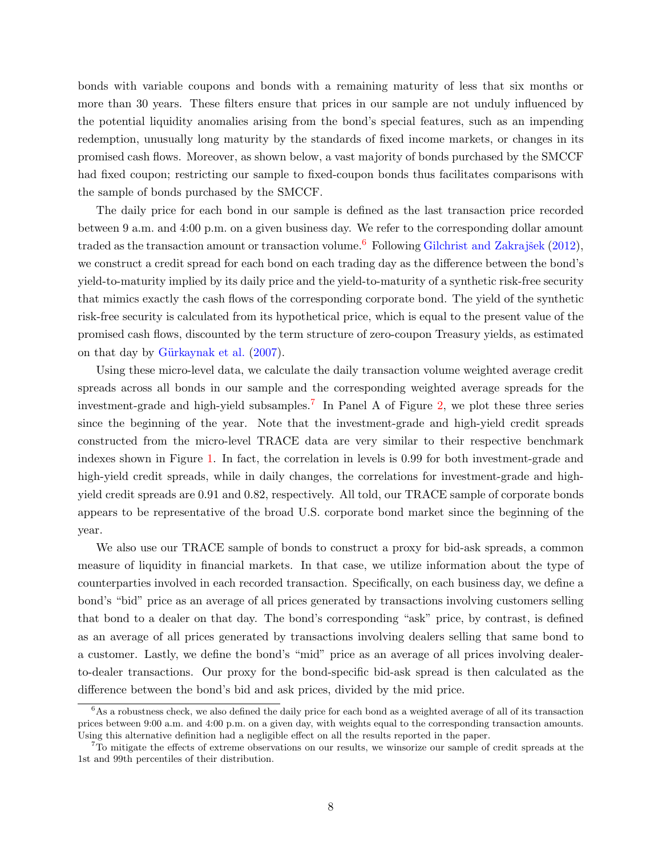bonds with variable coupons and bonds with a remaining maturity of less that six months or more than 30 years. These filters ensure that prices in our sample are not unduly influenced by the potential liquidity anomalies arising from the bond's special features, such as an impending redemption, unusually long maturity by the standards of fixed income markets, or changes in its promised cash flows. Moreover, as shown below, a vast majority of bonds purchased by the SMCCF had fixed coupon; restricting our sample to fixed-coupon bonds thus facilitates comparisons with the sample of bonds purchased by the SMCCF.

The daily price for each bond in our sample is defined as the last transaction price recorded between 9 a.m. and 4:00 p.m. on a given business day. We refer to the corresponding dollar amount traded as the transaction amount or transaction volume.<sup>[6](#page-9-0)</sup> Following Gilchrist and Zakrajšek [\(2012\)](#page-32-9), we construct a credit spread for each bond on each trading day as the difference between the bond's yield-to-maturity implied by its daily price and the yield-to-maturity of a synthetic risk-free security that mimics exactly the cash flows of the corresponding corporate bond. The yield of the synthetic risk-free security is calculated from its hypothetical price, which is equal to the present value of the promised cash flows, discounted by the term structure of zero-coupon Treasury yields, as estimated on that day by Gürkaynak et al.  $(2007)$  $(2007)$ .

Using these micro-level data, we calculate the daily transaction volume weighted average credit spreads across all bonds in our sample and the corresponding weighted average spreads for the investment-grade and high-yield subsamples.[7](#page-8-0) In Panel A of Figure [2,](#page-9-1) we plot these three series since the beginning of the year. Note that the investment-grade and high-yield credit spreads constructed from the micro-level TRACE data are very similar to their respective benchmark indexes shown in Figure [1.](#page-2-0) In fact, the correlation in levels is 0.99 for both investment-grade and high-yield credit spreads, while in daily changes, the correlations for investment-grade and highyield credit spreads are 0.91 and 0.82, respectively. All told, our TRACE sample of corporate bonds appears to be representative of the broad U.S. corporate bond market since the beginning of the year.

We also use our TRACE sample of bonds to construct a proxy for bid-ask spreads, a common measure of liquidity in financial markets. In that case, we utilize information about the type of counterparties involved in each recorded transaction. Specifically, on each business day, we define a bond's "bid" price as an average of all prices generated by transactions involving customers selling that bond to a dealer on that day. The bond's corresponding "ask" price, by contrast, is defined as an average of all prices generated by transactions involving dealers selling that same bond to a customer. Lastly, we define the bond's "mid" price as an average of all prices involving dealerto-dealer transactions. Our proxy for the bond-specific bid-ask spread is then calculated as the difference between the bond's bid and ask prices, divided by the mid price.

 $6$ As a robustness check, we also defined the daily price for each bond as a weighted average of all of its transaction prices between 9:00 a.m. and 4:00 p.m. on a given day, with weights equal to the corresponding transaction amounts. Using this alternative definition had a negligible effect on all the results reported in the paper.

<span id="page-8-0"></span><sup>7</sup>To mitigate the effects of extreme observations on our results, we winsorize our sample of credit spreads at the 1st and 99th percentiles of their distribution.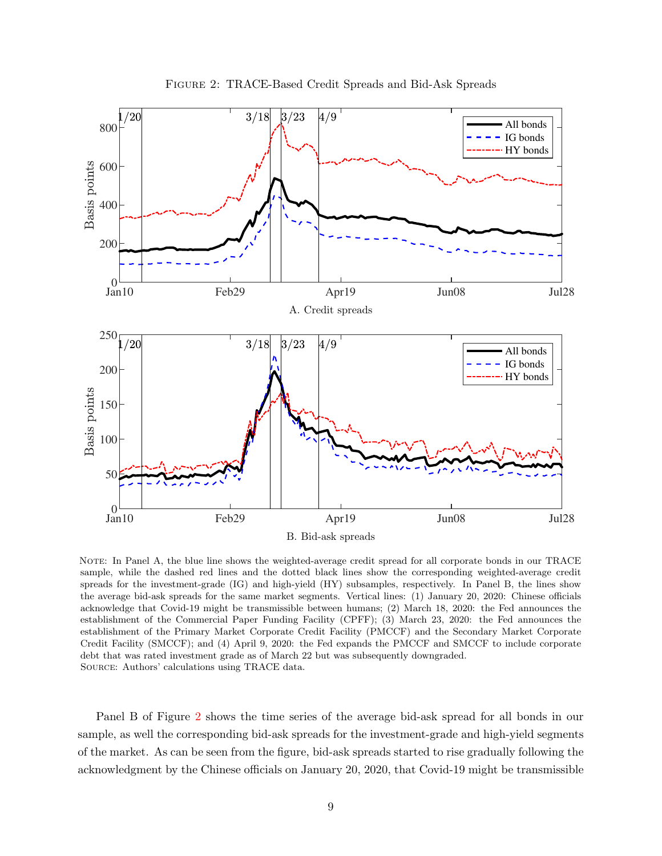<span id="page-9-1"></span>

Figure 2: TRACE-Based Credit Spreads and Bid-Ask Spreads

<span id="page-9-0"></span>NOTE: In Panel A, the blue line shows the weighted-average credit spread for all corporate bonds in our TRACE sample, while the dashed red lines and the dotted black lines show the corresponding weighted-average credit spreads for the investment-grade (IG) and high-yield (HY) subsamples, respectively. In Panel B, the lines show the average bid-ask spreads for the same market segments. Vertical lines: (1) January 20, 2020: Chinese officials acknowledge that Covid-19 might be transmissible between humans; (2) March 18, 2020: the Fed announces the establishment of the Commercial Paper Funding Facility (CPFF); (3) March 23, 2020: the Fed announces the establishment of the Primary Market Corporate Credit Facility (PMCCF) and the Secondary Market Corporate Credit Facility (SMCCF); and (4) April 9, 2020: the Fed expands the PMCCF and SMCCF to include corporate debt that was rated investment grade as of March 22 but was subsequently downgraded. Source: Authors' calculations using TRACE data.

Panel B of Figure [2](#page-9-1) shows the time series of the average bid-ask spread for all bonds in our sample, as well the corresponding bid-ask spreads for the investment-grade and high-yield segments of the market. As can be seen from the figure, bid-ask spreads started to rise gradually following the acknowledgment by the Chinese officials on January 20, 2020, that Covid-19 might be transmissible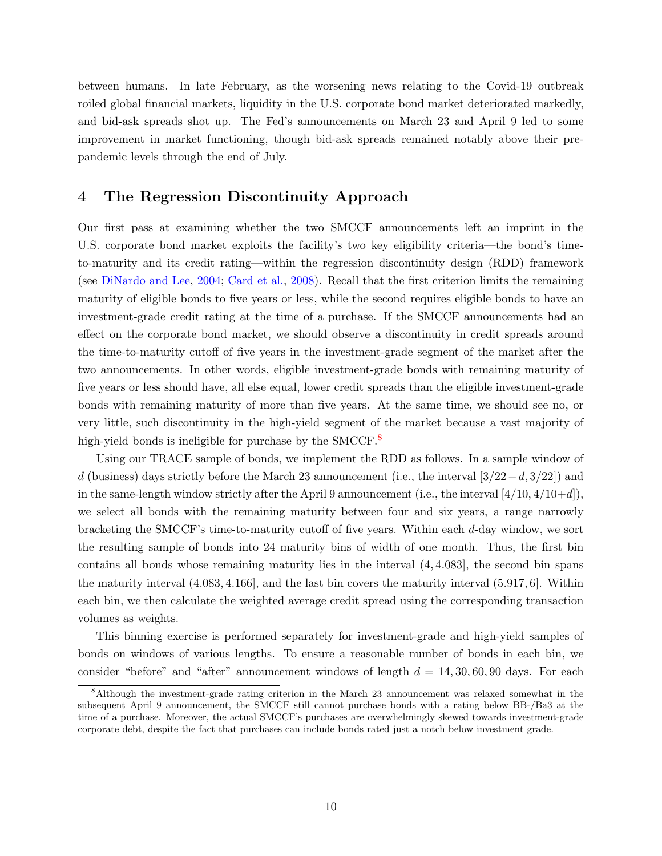between humans. In late February, as the worsening news relating to the Covid-19 outbreak roiled global financial markets, liquidity in the U.S. corporate bond market deteriorated markedly, and bid-ask spreads shot up. The Fed's announcements on March 23 and April 9 led to some improvement in market functioning, though bid-ask spreads remained notably above their prepandemic levels through the end of July.

#### <span id="page-10-0"></span>4 The Regression Discontinuity Approach

Our first pass at examining whether the two SMCCF announcements left an imprint in the U.S. corporate bond market exploits the facility's two key eligibility criteria—the bond's timeto-maturity and its credit rating—within the regression discontinuity design (RDD) framework (see [DiNardo and Lee,](#page-32-11) [2004](#page-32-11); [Card et al.](#page-31-3), [2008\)](#page-31-3). Recall that the first criterion limits the remaining maturity of eligible bonds to five years or less, while the second requires eligible bonds to have an investment-grade credit rating at the time of a purchase. If the SMCCF announcements had an effect on the corporate bond market, we should observe a discontinuity in credit spreads around the time-to-maturity cutoff of five years in the investment-grade segment of the market after the two announcements. In other words, eligible investment-grade bonds with remaining maturity of five years or less should have, all else equal, lower credit spreads than the eligible investment-grade bonds with remaining maturity of more than five years. At the same time, we should see no, or very little, such discontinuity in the high-yield segment of the market because a vast majority of high-yield bonds is ineligible for purchase by the SMCCF.<sup>[8](#page-13-0)</sup>

Using our TRACE sample of bonds, we implement the RDD as follows. In a sample window of d (business) days strictly before the March 23 announcement (i.e., the interval  $[3/22-d,3/22]$ ) and in the same-length window strictly after the April 9 announcement (i.e., the interval  $[4/10, 4/10+d]$ ), we select all bonds with the remaining maturity between four and six years, a range narrowly bracketing the SMCCF's time-to-maturity cutoff of five years. Within each d-day window, we sort the resulting sample of bonds into 24 maturity bins of width of one month. Thus, the first bin contains all bonds whose remaining maturity lies in the interval (4, 4.083], the second bin spans the maturity interval (4.083, 4.166], and the last bin covers the maturity interval (5.917, 6]. Within each bin, we then calculate the weighted average credit spread using the corresponding transaction volumes as weights.

This binning exercise is performed separately for investment-grade and high-yield samples of bonds on windows of various lengths. To ensure a reasonable number of bonds in each bin, we consider "before" and "after" announcement windows of length  $d = 14, 30, 60, 90$  days. For each

<sup>&</sup>lt;sup>8</sup>Although the investment-grade rating criterion in the March 23 announcement was relaxed somewhat in the subsequent April 9 announcement, the SMCCF still cannot purchase bonds with a rating below BB-/Ba3 at the time of a purchase. Moreover, the actual SMCCF's purchases are overwhelmingly skewed towards investment-grade corporate debt, despite the fact that purchases can include bonds rated just a notch below investment grade.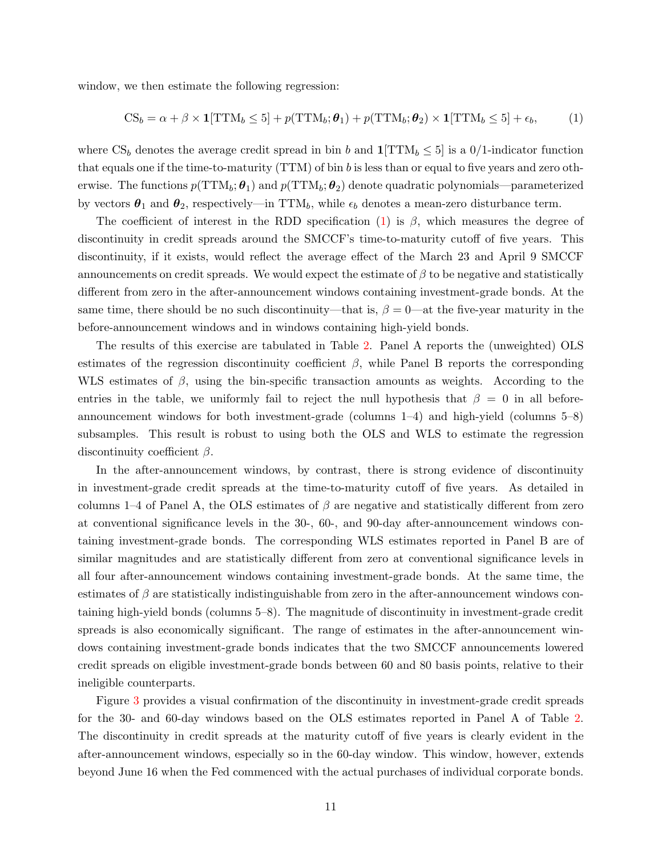window, we then estimate the following regression:

<span id="page-11-1"></span><span id="page-11-0"></span>
$$
CS_b = \alpha + \beta \times \mathbf{1}[TTM_b \le 5] + p(TTM_b; \theta_1) + p(TTM_b; \theta_2) \times \mathbf{1}[TTM_b \le 5] + \epsilon_b,
$$
 (1)

where  $CS_b$  denotes the average credit spread in bin b and  $1[\text{TTM}_b \leq 5]$  is a 0/1-indicator function that equals one if the time-to-maturity (TTM) of bin b is less than or equal to five years and zero otherwise. The functions  $p(TTM_b; \theta_1)$  and  $p(TTM_b; \theta_2)$  denote quadratic polynomials—parameterized by vectors  $\theta_1$  and  $\theta_2$ , respectively—in TTM<sub>b</sub>, while  $\epsilon_b$  denotes a mean-zero disturbance term.

The coefficient of interest in the RDD specification [\(1\)](#page-11-0) is  $\beta$ , which measures the degree of discontinuity in credit spreads around the SMCCF's time-to-maturity cutoff of five years. This discontinuity, if it exists, would reflect the average effect of the March 23 and April 9 SMCCF announcements on credit spreads. We would expect the estimate of  $\beta$  to be negative and statistically different from zero in the after-announcement windows containing investment-grade bonds. At the same time, there should be no such discontinuity—that is,  $\beta = 0$ —at the five-year maturity in the before-announcement windows and in windows containing high-yield bonds.

The results of this exercise are tabulated in Table [2.](#page-12-0) Panel A reports the (unweighted) OLS estimates of the regression discontinuity coefficient  $\beta$ , while Panel B reports the corresponding WLS estimates of  $\beta$ , using the bin-specific transaction amounts as weights. According to the entries in the table, we uniformly fail to reject the null hypothesis that  $\beta = 0$  in all beforeannouncement windows for both investment-grade (columns 1–4) and high-yield (columns 5–8) subsamples. This result is robust to using both the OLS and WLS to estimate the regression discontinuity coefficient  $\beta$ .

In the after-announcement windows, by contrast, there is strong evidence of discontinuity in investment-grade credit spreads at the time-to-maturity cutoff of five years. As detailed in columns 1–4 of Panel A, the OLS estimates of  $\beta$  are negative and statistically different from zero at conventional significance levels in the 30-, 60-, and 90-day after-announcement windows containing investment-grade bonds. The corresponding WLS estimates reported in Panel B are of similar magnitudes and are statistically different from zero at conventional significance levels in all four after-announcement windows containing investment-grade bonds. At the same time, the estimates of  $\beta$  are statistically indistinguishable from zero in the after-announcement windows containing high-yield bonds (columns 5–8). The magnitude of discontinuity in investment-grade credit spreads is also economically significant. The range of estimates in the after-announcement windows containing investment-grade bonds indicates that the two SMCCF announcements lowered credit spreads on eligible investment-grade bonds between 60 and 80 basis points, relative to their ineligible counterparts.

Figure [3](#page-13-1) provides a visual confirmation of the discontinuity in investment-grade credit spreads for the 30- and 60-day windows based on the OLS estimates reported in Panel A of Table [2.](#page-12-0) The discontinuity in credit spreads at the maturity cutoff of five years is clearly evident in the after-announcement windows, especially so in the 60-day window. This window, however, extends beyond June 16 when the Fed commenced with the actual purchases of individual corporate bonds.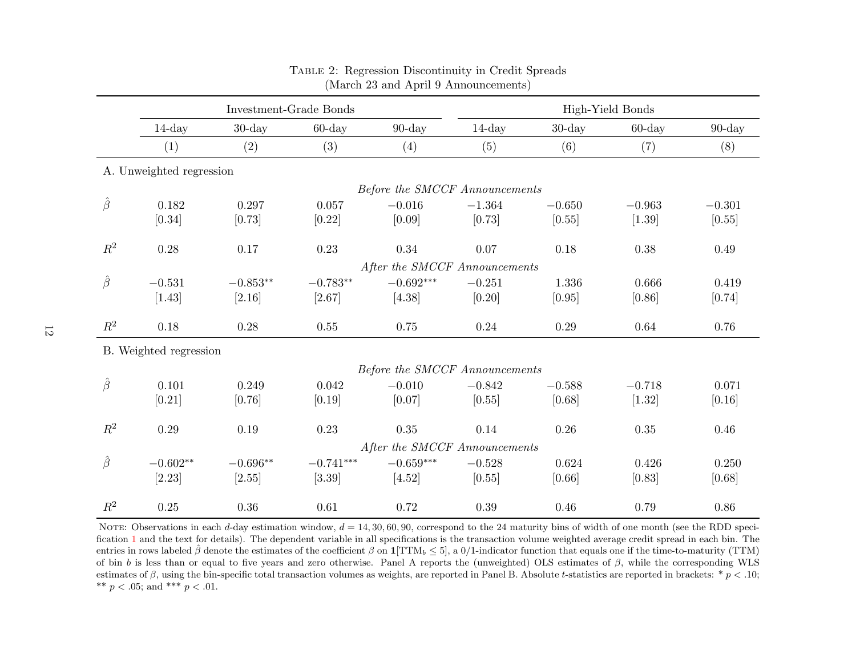|                |                          | Investment-Grade Bonds |             |                                |           |           | High-Yield Bonds |           |
|----------------|--------------------------|------------------------|-------------|--------------------------------|-----------|-----------|------------------|-----------|
|                | $14$ -day                | $30$ -day              | $60$ -day   | $90$ -day                      | $14$ -day | $30$ -day | $60$ -day        | $90$ -day |
|                | (1)                      | (2)                    | (3)         | (4)                            | (5)       | (6)       | (7)              | (8)       |
|                | A. Unweighted regression |                        |             |                                |           |           |                  |           |
|                |                          |                        |             | Before the SMCCF Announcements |           |           |                  |           |
| $\hat{\beta}$  | 0.182                    | 0.297                  | 0.057       | $-0.016$                       | $-1.364$  | $-0.650$  | $-0.963$         | $-0.301$  |
|                | [0.34]                   | [0.73]                 | [0.22]      | [0.09]                         | [0.73]    | [0.55]    | $[1.39]$         | [0.55]    |
| $R^2$          | 0.28                     | 0.17                   | 0.23        | 0.34                           | 0.07      | 0.18      | 0.38             | 0.49      |
|                |                          |                        |             | After the SMCCF Announcements  |           |           |                  |           |
| $\hat{\beta}$  | $-0.531$                 | $-0.853**$             | $-0.783**$  | $-0.692***$                    | $-0.251$  | 1.336     | 0.666            | 0.419     |
|                | [1.43]                   | [2.16]                 | [2.67]      | [4.38]                         | [0.20]    | [0.95]    | [0.86]           | [0.74]    |
| $\mathbb{R}^2$ | 0.18                     | 0.28                   | 0.55        | 0.75                           | 0.24      | 0.29      | 0.64             | 0.76      |
|                | B. Weighted regression   |                        |             |                                |           |           |                  |           |
|                |                          |                        |             | Before the SMCCF Announcements |           |           |                  |           |
| $\hat{\beta}$  | 0.101                    | 0.249                  | 0.042       | $-0.010$                       | $-0.842$  | $-0.588$  | $-0.718$         | 0.071     |
|                | [0.21]                   | [0.76]                 | [0.19]      | [0.07]                         | [0.55]    | [0.68]    | $[1.32]$         | [0.16]    |
| $\mathbb{R}^2$ | 0.29                     | 0.19                   | 0.23        | 0.35                           | 0.14      | 0.26      | 0.35             | 0.46      |
|                |                          |                        |             | After the SMCCF Announcements  |           |           |                  |           |
| $\hat{\beta}$  | $-0.602^{\ast\ast}$      | $-0.696**$             | $-0.741***$ | $-0.659***$                    | $-0.528$  | 0.624     | 0.426            | 0.250     |
|                | [2.23]                   | [2.55]                 | [3.39]      | [4.52]                         | [0.55]    | [0.66]    | [0.83]           | [0.68]    |
| $R^2$          | 0.25                     | $0.36\,$               | 0.61        | 0.72                           | 0.39      | 0.46      | 0.79             | 0.86      |

#### Table 2: Regression Discontinuity in Credit Spreads (March <sup>23</sup> and April <sup>9</sup> Announcements)

<span id="page-12-0"></span>NOTE: Observations in each d-day estimation window,  $d = 14, 30, 60, 90$ , correspond to the 24 maturity bins of width of one month (see the RDD speci---fication [1](#page-11-1) and the text for details). The dependent variable in all specifications is the transaction volume weighted average credit spread in each bin. The entries in rows labeled  $\hat{\beta}$  denote the estimates of the coefficient  $\beta$  on  $1[TTM_b \leq 5]$ , a  $0/1$ -indicator function that equals one if the time-to-maturity (TTM) of bin <sup>b</sup> is less than or equa<sup>l</sup> to five years and zero otherwise. Panel <sup>A</sup> reports the (unweighted) OLS estimates of <sup>β</sup>, while the corresponding WLS estimates of  $\beta$ , using the bin-specific total transaction volumes as weights, are reported in Panel B. Absolute t-statistics are reported in brackets:  $* p < .10$ ; \*\*  $p < .05$ ; and \*\*\*  $p < .01$ .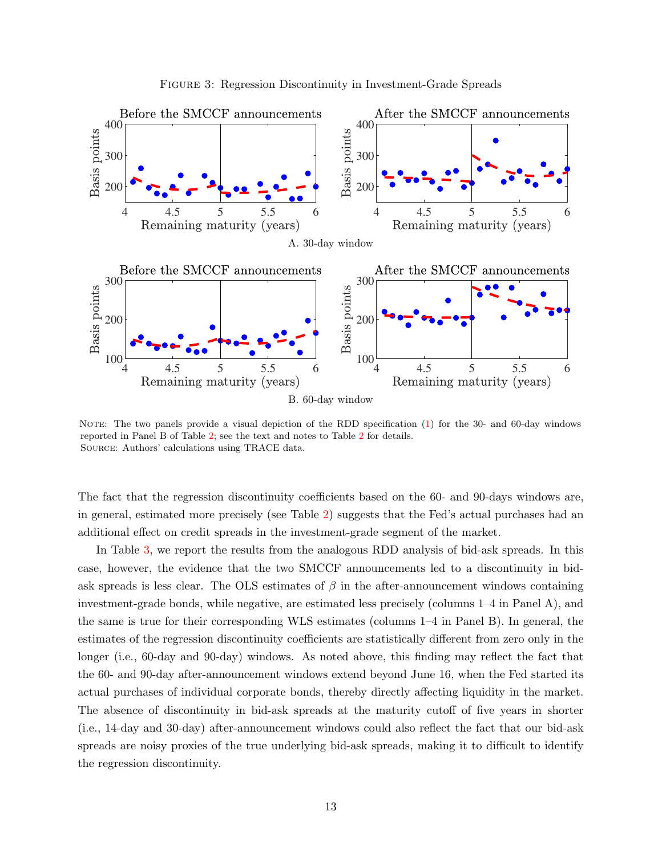<span id="page-13-1"></span>

Figure 3: Regression Discontinuity in Investment-Grade Spreads

<span id="page-13-0"></span>NOTE: The two panels provide a visual depiction of the RDD specification [\(1\)](#page-11-0) for the 30- and 60-day windows reported in Panel B of Table [2;](#page-12-0) see the text and notes to Table [2](#page-12-0) for details. Source: Authors' calculations using TRACE data.

The fact that the regression discontinuity coefficients based on the 60- and 90-days windows are, in general, estimated more precisely (see Table [2\)](#page-12-0) suggests that the Fed's actual purchases had an additional effect on credit spreads in the investment-grade segment of the market.

In Table [3,](#page-14-0) we report the results from the analogous RDD analysis of bid-ask spreads. In this case, however, the evidence that the two SMCCF announcements led to a discontinuity in bidask spreads is less clear. The OLS estimates of  $\beta$  in the after-announcement windows containing investment-grade bonds, while negative, are estimated less precisely (columns 1–4 in Panel A), and the same is true for their corresponding WLS estimates (columns 1–4 in Panel B). In general, the estimates of the regression discontinuity coefficients are statistically different from zero only in the longer (i.e., 60-day and 90-day) windows. As noted above, this finding may reflect the fact that the 60- and 90-day after-announcement windows extend beyond June 16, when the Fed started its actual purchases of individual corporate bonds, thereby directly affecting liquidity in the market. The absence of discontinuity in bid-ask spreads at the maturity cutoff of five years in shorter (i.e., 14-day and 30-day) after-announcement windows could also reflect the fact that our bid-ask spreads are noisy proxies of the true underlying bid-ask spreads, making it to difficult to identify the regression discontinuity.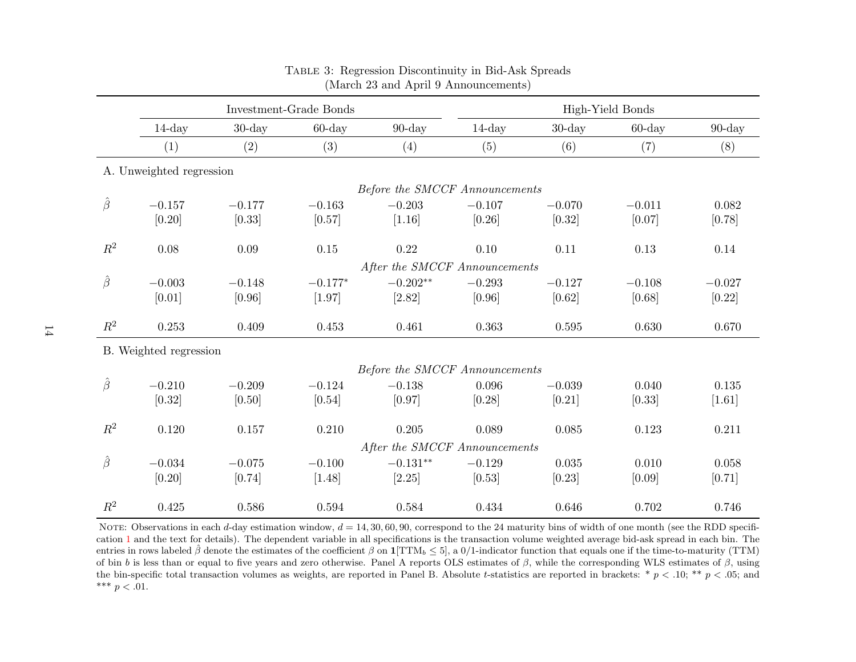|                |                          |           | <b>Investment-Grade Bonds</b> | High-Yield Bonds               |           |           |           |           |
|----------------|--------------------------|-----------|-------------------------------|--------------------------------|-----------|-----------|-----------|-----------|
|                | $14$ -day                | $30$ -day | $60$ -day                     | $90$ -day                      | $14$ -day | $30$ -day | $60$ -day | $90$ -day |
|                | (1)                      | (2)       | (3)                           | (4)                            | (5)       | (6)       | (7)       | (8)       |
|                | A. Unweighted regression |           |                               |                                |           |           |           |           |
|                |                          |           |                               | Before the SMCCF Announcements |           |           |           |           |
| $\hat{\beta}$  | $-0.157$                 | $-0.177$  | $-0.163$                      | $-0.203$                       | $-0.107$  | $-0.070$  | $-0.011$  | 0.082     |
|                | [0.20]                   | [0.33]    | [0.57]                        | [1.16]                         | [0.26]    | [0.32]    | [0.07]    | [0.78]    |
| $\mathbb{R}^2$ | 0.08                     | $0.09\,$  | $0.15\,$                      | 0.22                           | 0.10      | 0.11      | 0.13      | 0.14      |
|                |                          |           |                               | After the SMCCF Announcements  |           |           |           |           |
| $\hat{\beta}$  | $-0.003$                 | $-0.148$  | $-0.177*$                     | $-0.202**$                     | $-0.293$  | $-0.127$  | $-0.108$  | $-0.027$  |
|                | [0.01]                   | $[0.96]$  | [1.97]                        | $[2.82]$                       | [0.96]    | [0.62]    | [0.68]    | $[0.22]$  |
| $\mathbb{R}^2$ | 0.253                    | 0.409     | 0.453                         | 0.461                          | 0.363     | 0.595     | 0.630     | 0.670     |
|                | B. Weighted regression   |           |                               |                                |           |           |           |           |
|                |                          |           |                               | Before the SMCCF Announcements |           |           |           |           |
| $\hat{\beta}$  | $-0.210$                 | $-0.209$  | $-0.124$                      | $-0.138$                       | 0.096     | $-0.039$  | 0.040     | 0.135     |
|                | [0.32]                   | [0.50]    | [0.54]                        | [0.97]                         | [0.28]    | [0.21]    | [0.33]    | $[1.61]$  |
| $R^2$          | 0.120                    | 0.157     | 0.210                         | 0.205                          | 0.089     | 0.085     | 0.123     | 0.211     |
|                |                          |           |                               | After the SMCCF Announcements  |           |           |           |           |
| $\hat{\beta}$  | $-0.034$                 | $-0.075$  | $-0.100$                      | $-0.131**$                     | $-0.129$  | 0.035     | 0.010     | 0.058     |
|                | [0.20]                   | $[0.74]$  | $[1.48]$                      | [2.25]                         | [0.53]    | [0.23]    | [0.09]    | [0.71]    |
| $R^2$          | 0.425                    | 0.586     | 0.594                         | 0.584                          | 0.434     | 0.646     | 0.702     | 0.746     |

#### Table 3: Regression Discontinuity in Bid-Ask Spreads (March <sup>23</sup> and April <sup>9</sup> Announcements)

<span id="page-14-0"></span>NOTE: Observations in each d-day estimation window,  $d = 14, 30, 60, 90$ , correspond to the 24 maturity bins of width of one month (see the RDD specification [1](#page-11-1) and the text for details). The dependent variable in all specifications is the transaction volume weighted average bid-ask spread in each bin. The entries in rows labeled  $\hat{\beta}$  denote the estimates of the coefficient  $\beta$  on  $1[TTM_b \leq 5]$ , a  $0/1$ -indicator function that equals one if the time-to-maturity (TTM) of bin b is less than or equal to five years and zero otherwise. Panel A reports OLS estimates of  $\beta$ , while the corresponding WLS estimates of  $\beta$ , using the bin-specific total transaction volumes as weights, are reported in Panel B. Absolute t-statistics are reported in brackets:  $* p < .10; ** p < .05;$  and \*\*\*  $p < .01$ .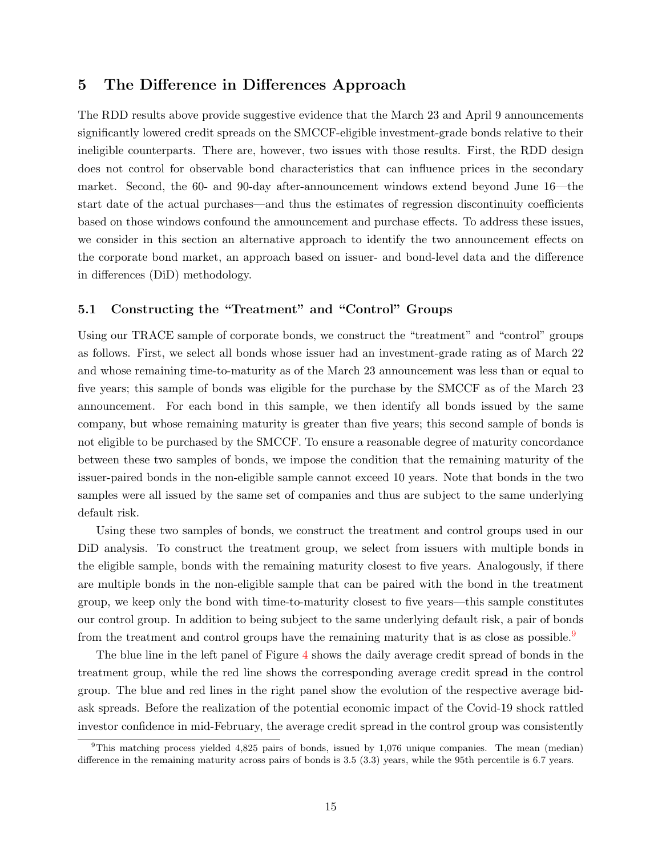#### <span id="page-15-0"></span>5 The Difference in Differences Approach

The RDD results above provide suggestive evidence that the March 23 and April 9 announcements significantly lowered credit spreads on the SMCCF-eligible investment-grade bonds relative to their ineligible counterparts. There are, however, two issues with those results. First, the RDD design does not control for observable bond characteristics that can influence prices in the secondary market. Second, the 60- and 90-day after-announcement windows extend beyond June 16—the start date of the actual purchases—and thus the estimates of regression discontinuity coefficients based on those windows confound the announcement and purchase effects. To address these issues, we consider in this section an alternative approach to identify the two announcement effects on the corporate bond market, an approach based on issuer- and bond-level data and the difference in differences (DiD) methodology.

#### 5.1 Constructing the "Treatment" and "Control" Groups

Using our TRACE sample of corporate bonds, we construct the "treatment" and "control" groups as follows. First, we select all bonds whose issuer had an investment-grade rating as of March 22 and whose remaining time-to-maturity as of the March 23 announcement was less than or equal to five years; this sample of bonds was eligible for the purchase by the SMCCF as of the March 23 announcement. For each bond in this sample, we then identify all bonds issued by the same company, but whose remaining maturity is greater than five years; this second sample of bonds is not eligible to be purchased by the SMCCF. To ensure a reasonable degree of maturity concordance between these two samples of bonds, we impose the condition that the remaining maturity of the issuer-paired bonds in the non-eligible sample cannot exceed 10 years. Note that bonds in the two samples were all issued by the same set of companies and thus are subject to the same underlying default risk.

Using these two samples of bonds, we construct the treatment and control groups used in our DiD analysis. To construct the treatment group, we select from issuers with multiple bonds in the eligible sample, bonds with the remaining maturity closest to five years. Analogously, if there are multiple bonds in the non-eligible sample that can be paired with the bond in the treatment group, we keep only the bond with time-to-maturity closest to five years—this sample constitutes our control group. In addition to being subject to the same underlying default risk, a pair of bonds from the treatment and control groups have the remaining maturity that is as close as possible.<sup>[9](#page-16-0)</sup>

The blue line in the left panel of Figure [4](#page-16-1) shows the daily average credit spread of bonds in the treatment group, while the red line shows the corresponding average credit spread in the control group. The blue and red lines in the right panel show the evolution of the respective average bidask spreads. Before the realization of the potential economic impact of the Covid-19 shock rattled investor confidence in mid-February, the average credit spread in the control group was consistently

 $9$ This matching process yielded 4,825 pairs of bonds, issued by 1,076 unique companies. The mean (median) difference in the remaining maturity across pairs of bonds is 3.5 (3.3) years, while the 95th percentile is 6.7 years.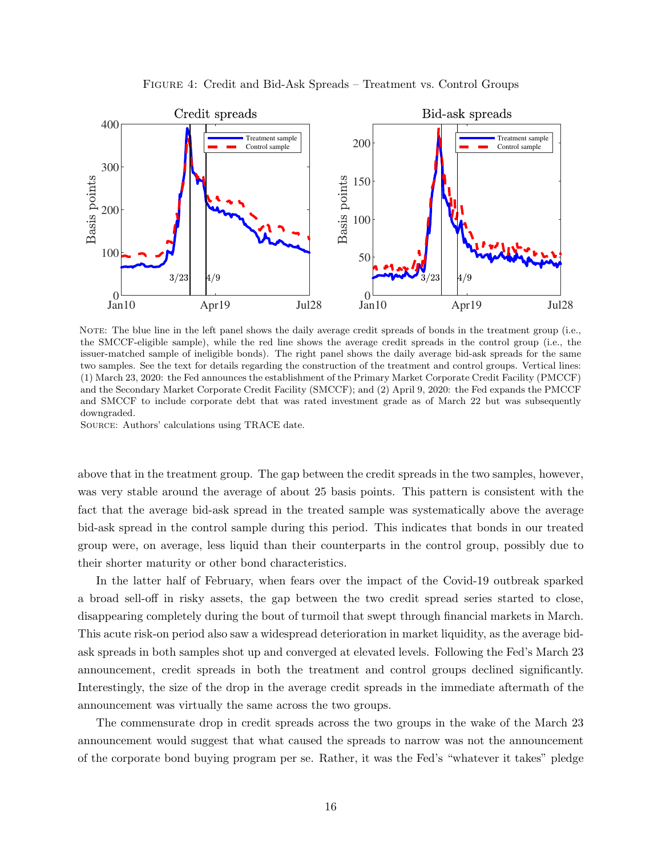<span id="page-16-1"></span>

Figure 4: Credit and Bid-Ask Spreads – Treatment vs. Control Groups

<span id="page-16-0"></span>NOTE: The blue line in the left panel shows the daily average credit spreads of bonds in the treatment group (i.e., the SMCCF-eligible sample), while the red line shows the average credit spreads in the control group (i.e., the issuer-matched sample of ineligible bonds). The right panel shows the daily average bid-ask spreads for the same two samples. See the text for details regarding the construction of the treatment and control groups. Vertical lines: (1) March 23, 2020: the Fed announces the establishment of the Primary Market Corporate Credit Facility (PMCCF) and the Secondary Market Corporate Credit Facility (SMCCF); and (2) April 9, 2020: the Fed expands the PMCCF and SMCCF to include corporate debt that was rated investment grade as of March 22 but was subsequently downgraded.

Source: Authors' calculations using TRACE date.

above that in the treatment group. The gap between the credit spreads in the two samples, however, was very stable around the average of about 25 basis points. This pattern is consistent with the fact that the average bid-ask spread in the treated sample was systematically above the average bid-ask spread in the control sample during this period. This indicates that bonds in our treated group were, on average, less liquid than their counterparts in the control group, possibly due to their shorter maturity or other bond characteristics.

In the latter half of February, when fears over the impact of the Covid-19 outbreak sparked a broad sell-off in risky assets, the gap between the two credit spread series started to close, disappearing completely during the bout of turmoil that swept through financial markets in March. This acute risk-on period also saw a widespread deterioration in market liquidity, as the average bidask spreads in both samples shot up and converged at elevated levels. Following the Fed's March 23 announcement, credit spreads in both the treatment and control groups declined significantly. Interestingly, the size of the drop in the average credit spreads in the immediate aftermath of the announcement was virtually the same across the two groups.

The commensurate drop in credit spreads across the two groups in the wake of the March 23 announcement would suggest that what caused the spreads to narrow was not the announcement of the corporate bond buying program per se. Rather, it was the Fed's "whatever it takes" pledge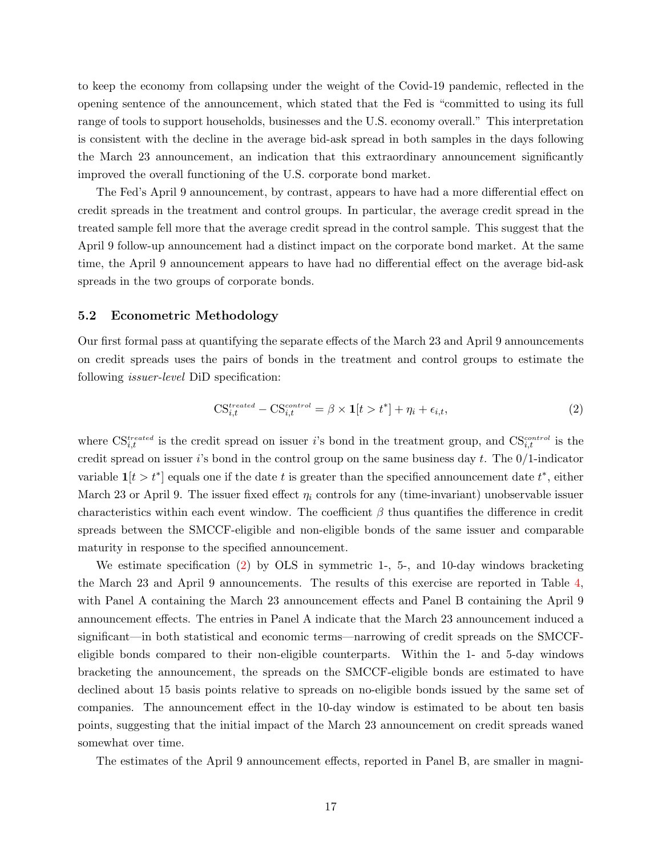to keep the economy from collapsing under the weight of the Covid-19 pandemic, reflected in the opening sentence of the announcement, which stated that the Fed is "committed to using its full range of tools to support households, businesses and the U.S. economy overall." This interpretation is consistent with the decline in the average bid-ask spread in both samples in the days following the March 23 announcement, an indication that this extraordinary announcement significantly improved the overall functioning of the U.S. corporate bond market.

The Fed's April 9 announcement, by contrast, appears to have had a more differential effect on credit spreads in the treatment and control groups. In particular, the average credit spread in the treated sample fell more that the average credit spread in the control sample. This suggest that the April 9 follow-up announcement had a distinct impact on the corporate bond market. At the same time, the April 9 announcement appears to have had no differential effect on the average bid-ask spreads in the two groups of corporate bonds.

#### 5.2 Econometric Methodology

Our first formal pass at quantifying the separate effects of the March 23 and April 9 announcements on credit spreads uses the pairs of bonds in the treatment and control groups to estimate the following *issuer-level* DiD specification:

<span id="page-17-0"></span>
$$
\text{CS}_{i,t}^{treated} - \text{CS}_{i,t}^{control} = \beta \times \mathbf{1}[t > t^*] + \eta_i + \epsilon_{i,t},\tag{2}
$$

where  $\text{CS}_{i,t}^{treated}$  is the credit spread on issuer is bond in the treatment group, and  $\text{CS}_{i,t}^{control}$  is the credit spread on issuer i's bond in the control group on the same business day t. The  $0/1$ -indicator variable  $\mathbf{1}[t > t^*]$  equals one if the date t is greater than the specified announcement date  $t^*$ , either March 23 or April 9. The issuer fixed effect  $\eta_i$  controls for any (time-invariant) unobservable issuer characteristics within each event window. The coefficient  $\beta$  thus quantifies the difference in credit spreads between the SMCCF-eligible and non-eligible bonds of the same issuer and comparable maturity in response to the specified announcement.

We estimate specification [\(2\)](#page-17-0) by OLS in symmetric 1-, 5-, and 10-day windows bracketing the March 23 and April 9 announcements. The results of this exercise are reported in Table [4,](#page-18-0) with Panel A containing the March 23 announcement effects and Panel B containing the April 9 announcement effects. The entries in Panel A indicate that the March 23 announcement induced a significant—in both statistical and economic terms—narrowing of credit spreads on the SMCCFeligible bonds compared to their non-eligible counterparts. Within the 1- and 5-day windows bracketing the announcement, the spreads on the SMCCF-eligible bonds are estimated to have declined about 15 basis points relative to spreads on no-eligible bonds issued by the same set of companies. The announcement effect in the 10-day window is estimated to be about ten basis points, suggesting that the initial impact of the March 23 announcement on credit spreads waned somewhat over time.

The estimates of the April 9 announcement effects, reported in Panel B, are smaller in magni-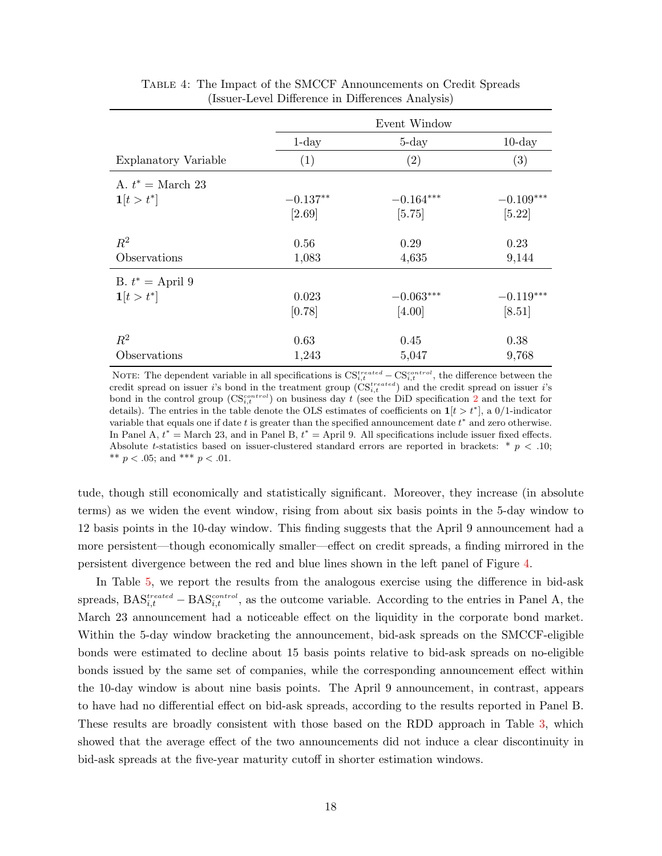<span id="page-18-0"></span>

|                             |            | Event Window |             |
|-----------------------------|------------|--------------|-------------|
|                             | $1$ -day   | $5$ -day     | $10$ -day   |
| Explanatory Variable        | (1)        | (2)          | (3)         |
| A. $t^* = \text{March } 23$ |            |              |             |
| $1[t > t^*]$                | $-0.137**$ | $-0.164***$  | $-0.109***$ |
|                             | [2.69]     | [5.75]       | [5.22]      |
| $R^2$                       | 0.56       | 0.29         | 0.23        |
| Observations                | 1,083      | 4,635        | 9,144       |
| B. $t^* =$ April 9          |            |              |             |
| $1[t > t^*]$                | 0.023      | $-0.063***$  | $-0.119***$ |
|                             | [0.78]     | [4.00]       | [8.51]      |
| $R^2$                       | 0.63       | 0.45         | 0.38        |
| Observations                | 1,243      | 5,047        | 9,768       |

Table 4: The Impact of the SMCCF Announcements on Credit Spreads (Issuer-Level Difference in Differences Analysis)

NOTE: The dependent variable in all specifications is  $CS_{i,t}^{treated} - CS_{i,t}^{control}$ , the difference between the credit spread on issuer i's bond in the treatment group  $(\text{CS}_{i,t}^{treated})$  and the credit spread on issuer i's bond in the control group  $(\text{CS}_{i,t}^{control})$  on business day t (see the DiD specification [2](#page-17-0) and the text for details). The entries in the table denote the OLS estimates of coefficients on  $1[t > t^*]$ , a 0/1-indicator variable that equals one if date t is greater than the specified announcement date  $t^*$  and zero otherwise. In Panel A,  $t^* =$  March 23, and in Panel B,  $t^* =$  April 9. All specifications include issuer fixed effects. Absolute t-statistics based on issuer-clustered standard errors are reported in brackets:  $*$   $p$   $\lt$  .10; \*\*  $p < .05$ ; and \*\*\*  $p < .01$ .

tude, though still economically and statistically significant. Moreover, they increase (in absolute terms) as we widen the event window, rising from about six basis points in the 5-day window to 12 basis points in the 10-day window. This finding suggests that the April 9 announcement had a more persistent—though economically smaller—effect on credit spreads, a finding mirrored in the persistent divergence between the red and blue lines shown in the left panel of Figure [4.](#page-16-1)

In Table [5,](#page-19-0) we report the results from the analogous exercise using the difference in bid-ask spreads,  $\text{BAS}_{i,t}^{treated} - \text{BAS}_{i,t}^{control}$ , as the outcome variable. According to the entries in Panel A, the March 23 announcement had a noticeable effect on the liquidity in the corporate bond market. Within the 5-day window bracketing the announcement, bid-ask spreads on the SMCCF-eligible bonds were estimated to decline about 15 basis points relative to bid-ask spreads on no-eligible bonds issued by the same set of companies, while the corresponding announcement effect within the 10-day window is about nine basis points. The April 9 announcement, in contrast, appears to have had no differential effect on bid-ask spreads, according to the results reported in Panel B. These results are broadly consistent with those based on the RDD approach in Table [3,](#page-14-0) which showed that the average effect of the two announcements did not induce a clear discontinuity in bid-ask spreads at the five-year maturity cutoff in shorter estimation windows.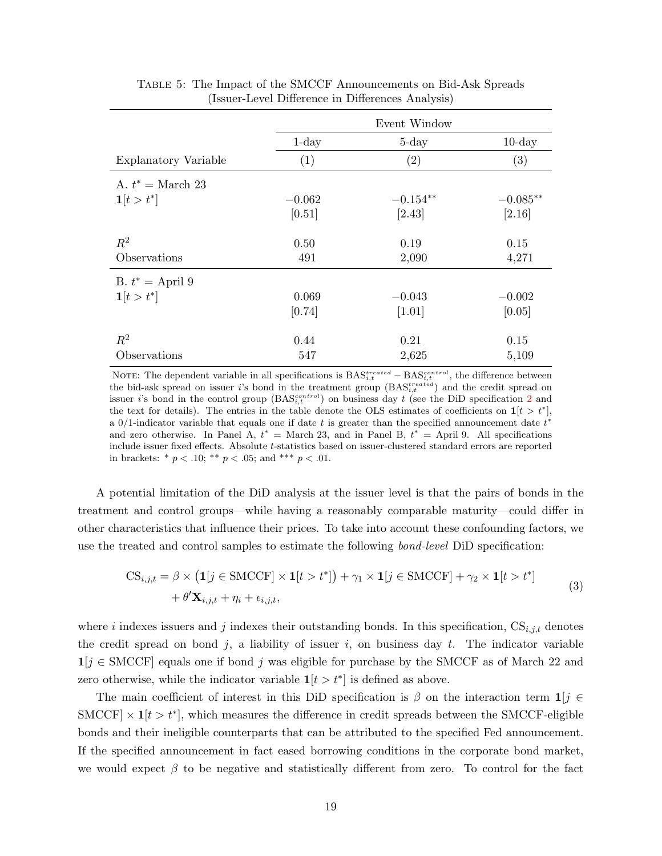|                             |          | Event Window      |            |
|-----------------------------|----------|-------------------|------------|
|                             | $1$ -day | $5$ -day          | $10$ -day  |
| Explanatory Variable        | (1)      | $\left( 2\right)$ | (3)        |
| A. $t^* = \text{March } 23$ |          |                   |            |
| $1[t > t^*]$                | $-0.062$ | $-0.154**$        | $-0.085**$ |
|                             | [0.51]   | [2.43]            | [2.16]     |
| $R^2$                       | 0.50     | 0.19              | 0.15       |
| Observations                | 491      | 2,090             | 4,271      |
| B. $t^* =$ April 9          |          |                   |            |
| $1[t > t^*]$                | 0.069    | $-0.043$          | $-0.002$   |
|                             | [0.74]   | $[1.01]$          | [0.05]     |
| $R^2$                       | 0.44     | 0.21              | 0.15       |
| Observations                | 547      | 2,625             | 5,109      |

<span id="page-19-2"></span><span id="page-19-0"></span>Table 5: The Impact of the SMCCF Announcements on Bid-Ask Spreads (Issuer-Level Difference in Differences Analysis)

NOTE: The dependent variable in all specifications is  $BAS_{i,t}^{treated} - BAS_{i,t}^{control}$ , the difference between the bid-ask spread on issuer i's bond in the treatment group  $(BAS_{i,t}^{treated})$  and the credit spread on issuer *i*'s bond in the control group  $(BAS_{i,t}^{control})$  on business day t (see the DiD specification [2](#page-17-0) and the text for details). The entries in the table denote the OLS estimates of coefficients on  $1[t > t^*]$ , a 0/1-indicator variable that equals one if date t is greater than the specified announcement date  $t^*$ and zero otherwise. In Panel A,  $t^* =$  March 23, and in Panel B,  $t^* =$  April 9. All specifications include issuer fixed effects. Absolute t-statistics based on issuer-clustered standard errors are reported in brackets: \*  $p < .10$ ; \*\*  $p < .05$ ; and \*\*\*  $p < .01$ .

A potential limitation of the DiD analysis at the issuer level is that the pairs of bonds in the treatment and control groups—while having a reasonably comparable maturity—could differ in other characteristics that influence their prices. To take into account these confounding factors, we use the treated and control samples to estimate the following bond-level DiD specification:

$$
CS_{i,j,t} = \beta \times (\mathbf{1}[j \in \text{SMCCF}] \times \mathbf{1}[t > t^*]) + \gamma_1 \times \mathbf{1}[j \in \text{SMCCF}] + \gamma_2 \times \mathbf{1}[t > t^*]
$$
  
+  $\theta' \mathbf{X}_{i,j,t} + \eta_i + \epsilon_{i,j,t},$  (3)

<span id="page-19-1"></span>where i indexes issuers and j indexes their outstanding bonds. In this specification,  $CS_{i,j,t}$  denotes the credit spread on bond j, a liability of issuer i, on business day t. The indicator variable  $1[j \in \text{SMCCF}]$  equals one if bond j was eligible for purchase by the SMCCF as of March 22 and zero otherwise, while the indicator variable  $\mathbf{1}[t > t^*]$  is defined as above.

The main coefficient of interest in this DiD specification is  $\beta$  on the interaction term  $\mathbf{1}[j] \in$ SMCCF  $\times$  1[ $t > t^*$ ], which measures the difference in credit spreads between the SMCCF-eligible bonds and their ineligible counterparts that can be attributed to the specified Fed announcement. If the specified announcement in fact eased borrowing conditions in the corporate bond market, we would expect  $\beta$  to be negative and statistically different from zero. To control for the fact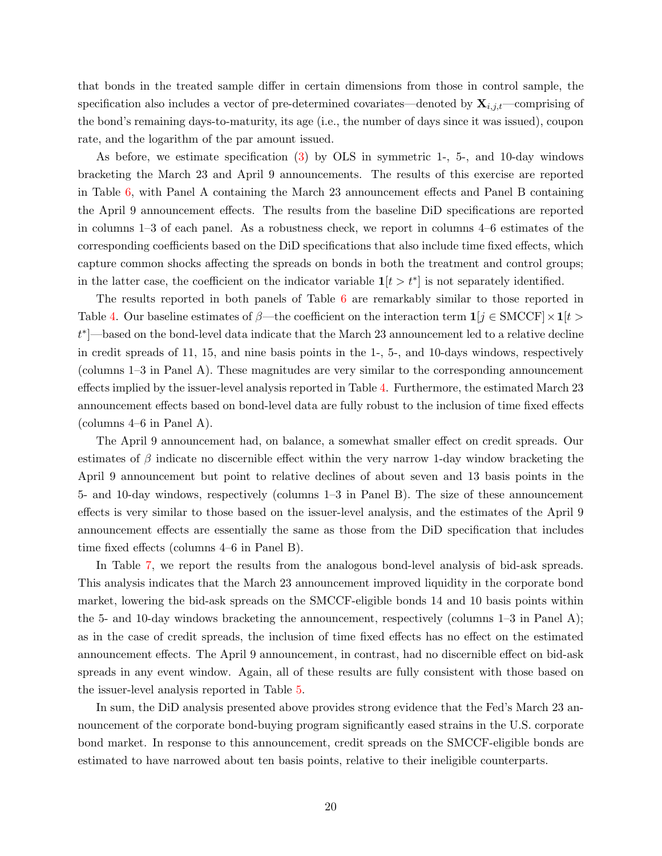that bonds in the treated sample differ in certain dimensions from those in control sample, the specification also includes a vector of pre-determined covariates—denoted by  $\mathbf{X}_{i,j,t}$ —comprising of the bond's remaining days-to-maturity, its age (i.e., the number of days since it was issued), coupon rate, and the logarithm of the par amount issued.

As before, we estimate specification [\(3\)](#page-19-1) by OLS in symmetric 1-, 5-, and 10-day windows bracketing the March 23 and April 9 announcements. The results of this exercise are reported in Table [6,](#page-21-0) with Panel A containing the March 23 announcement effects and Panel B containing the April 9 announcement effects. The results from the baseline DiD specifications are reported in columns 1–3 of each panel. As a robustness check, we report in columns 4–6 estimates of the corresponding coefficients based on the DiD specifications that also include time fixed effects, which capture common shocks affecting the spreads on bonds in both the treatment and control groups; in the latter case, the coefficient on the indicator variable  $\mathbf{1}[t > t^*]$  is not separately identified.

The results reported in both panels of Table [6](#page-21-0) are remarkably similar to those reported in Table [4.](#page-18-0) Our baseline estimates of  $\beta$ —the coefficient on the interaction term  $\mathbf{1}[j \in \text{SMCCF}] \times \mathbf{1}[t >$ t ∗ ]—based on the bond-level data indicate that the March 23 announcement led to a relative decline in credit spreads of 11, 15, and nine basis points in the 1-, 5-, and 10-days windows, respectively (columns 1–3 in Panel A). These magnitudes are very similar to the corresponding announcement effects implied by the issuer-level analysis reported in Table [4.](#page-18-0) Furthermore, the estimated March 23 announcement effects based on bond-level data are fully robust to the inclusion of time fixed effects (columns 4–6 in Panel A).

The April 9 announcement had, on balance, a somewhat smaller effect on credit spreads. Our estimates of  $\beta$  indicate no discernible effect within the very narrow 1-day window bracketing the April 9 announcement but point to relative declines of about seven and 13 basis points in the 5- and 10-day windows, respectively (columns 1–3 in Panel B). The size of these announcement effects is very similar to those based on the issuer-level analysis, and the estimates of the April 9 announcement effects are essentially the same as those from the DiD specification that includes time fixed effects (columns 4–6 in Panel B).

In Table [7,](#page-22-0) we report the results from the analogous bond-level analysis of bid-ask spreads. This analysis indicates that the March 23 announcement improved liquidity in the corporate bond market, lowering the bid-ask spreads on the SMCCF-eligible bonds 14 and 10 basis points within the 5- and 10-day windows bracketing the announcement, respectively (columns 1–3 in Panel A); as in the case of credit spreads, the inclusion of time fixed effects has no effect on the estimated announcement effects. The April 9 announcement, in contrast, had no discernible effect on bid-ask spreads in any event window. Again, all of these results are fully consistent with those based on the issuer-level analysis reported in Table [5.](#page-19-0)

In sum, the DiD analysis presented above provides strong evidence that the Fed's March 23 announcement of the corporate bond-buying program significantly eased strains in the U.S. corporate bond market. In response to this announcement, credit spreads on the SMCCF-eligible bonds are estimated to have narrowed about ten basis points, relative to their ineligible counterparts.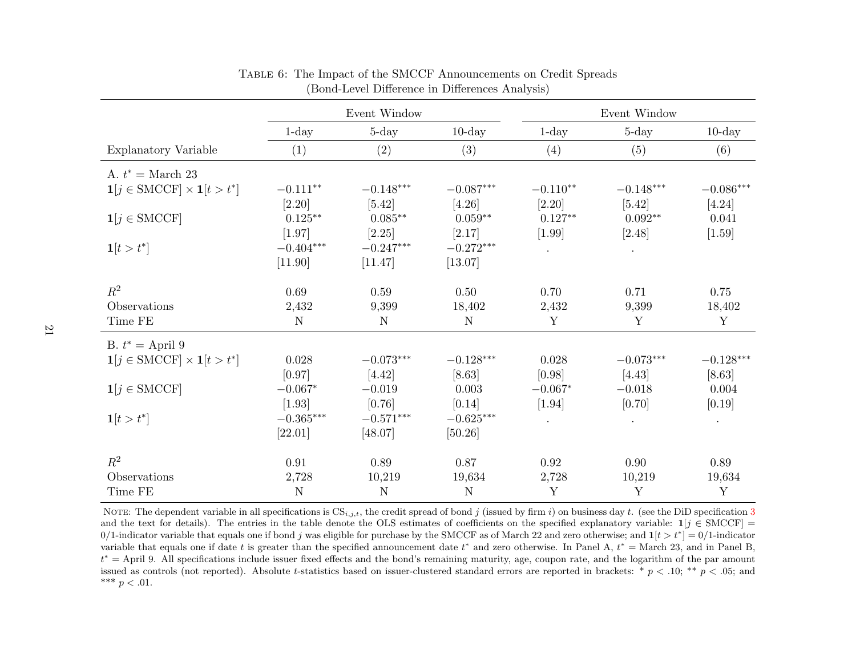|                                                             |             | Event Window |             |            | Event Window |                         |
|-------------------------------------------------------------|-------------|--------------|-------------|------------|--------------|-------------------------|
|                                                             | $1$ -day    | $5$ -day     | $10$ -day   | $1$ -day   | $5 - day$    | $10$ -day               |
| Explanatory Variable                                        | (1)         | (2)          | (3)         | (4)        | (5)          | (6)                     |
| A. $t^* = \text{March } 23$                                 |             |              |             |            |              |                         |
| $\mathbf{1}[j \in \text{SMCCF}] \times \mathbf{1}[t > t^*]$ | $-0.111**$  | $-0.148***$  | $-0.087***$ | $-0.110**$ | $-0.148***$  | $-0.086^{\ast\ast\ast}$ |
|                                                             | $[2.20]$    | $[5.42]$     | [4.26]      | [2.20]     | [5.42]       | [4.24]                  |
| $\mathbf{1}[j \in \text{SMCCF}]$                            | $0.125**$   | $0.085***$   | $0.059**$   | $0.127**$  | $0.092**$    | 0.041                   |
|                                                             | $[1.97]$    | $[2.25]$     | [2.17]      | $[1.99]$   | [2.48]       | $[1.59]$                |
| $1[t > t^*]$                                                | $-0.404***$ | $-0.247***$  | $-0.272***$ | $\bullet$  | $\bullet$    |                         |
|                                                             | [11.90]     | [11.47]      | [13.07]     |            |              |                         |
| $\mathbb{R}^2$                                              | 0.69        | 0.59         | 0.50        | 0.70       | 0.71         | 0.75                    |
| Observations                                                | 2,432       | 9,399        | 18,402      | 2,432      | 9,399        | 18,402                  |
| Time FE                                                     | $\mathbf N$ | ${\rm N}$    | $\mathbf N$ | Y          | $\mathbf Y$  | $\mathbf Y$             |
| B. $t^* =$ April 9                                          |             |              |             |            |              |                         |
| $\mathbf{1}[j \in \text{SMCCF}] \times \mathbf{1}[t > t^*]$ | 0.028       | $-0.073***$  | $-0.128***$ | 0.028      | $-0.073***$  | $-0.128***$             |
|                                                             | [0.97]      | [4.42]       | [8.63]      | [0.98]     | [4.43]       | $[8.63]$                |
| $\mathbf{1}[j \in \text{SMCCF}]$                            | $-0.067*$   | $-0.019$     | 0.003       | $-0.067*$  | $-0.018$     | 0.004                   |
|                                                             | $[1.93]$    | [0.76]       | [0.14]      | $[1.94]$   | [0.70]       | [0.19]                  |
| $1[t > t^*]$                                                | $-0.365***$ | $-0.571***$  | $-0.625***$ |            | $\bullet$    | $\bullet$               |
|                                                             | [22.01]     | [48.07]      | [50.26]     |            |              |                         |
| $\mathbb{R}^2$                                              | 0.91        | 0.89         | 0.87        | 0.92       | 0.90         | 0.89                    |
| Observations                                                | 2,728       | 10,219       | 19,634      | 2,728      | 10,219       | 19,634                  |
| Time FE                                                     | $\mathbf N$ | $\mathbf N$  | $\mathbf N$ | Y          | Y            | Y                       |

Table 6: The Impact of the SMCCF Announcements on Credit Spreads (Bond-Level Difference in Differences Analysis)

<span id="page-21-0"></span>NOTE: The dependent variable in all specifications is  $CS_{i,j,t}$ , the credit spread of bond j (issued by firm i) on business day t. (see the DiD specification [3](#page-19-2) and the text for details). The entries in the table denote the OLS estimates of coefficients on the specified explanatory variable:  $\mathbf{1}[j \in \text{SMCCF}] =$ 0/1-indicator variable that equals one if bond j was eligible for purchase by the SMCCF as of March 22 and zero otherwise; and  $\mathbf{1}[t > t^*] = 0/1$ -indicator variable that equals one if date t is greater than the specified announcement date  $t^*$  and zero otherwise. In Panel A,  $t^* =$  March 23, and in Panel B,  $t<sup>*</sup>$  = April 9. All specifications include issuer fixed effects and the bond's remaining maturity, age, coupon rate, and the logarithm of the par amount issued as controls (not reported). Absolute t-statistics based on issuer-clustered standard errors are reported in brackets: \*  $p < .10$ ; \*\*  $p < .05$ ; and \*\*\*  $p < .01$ .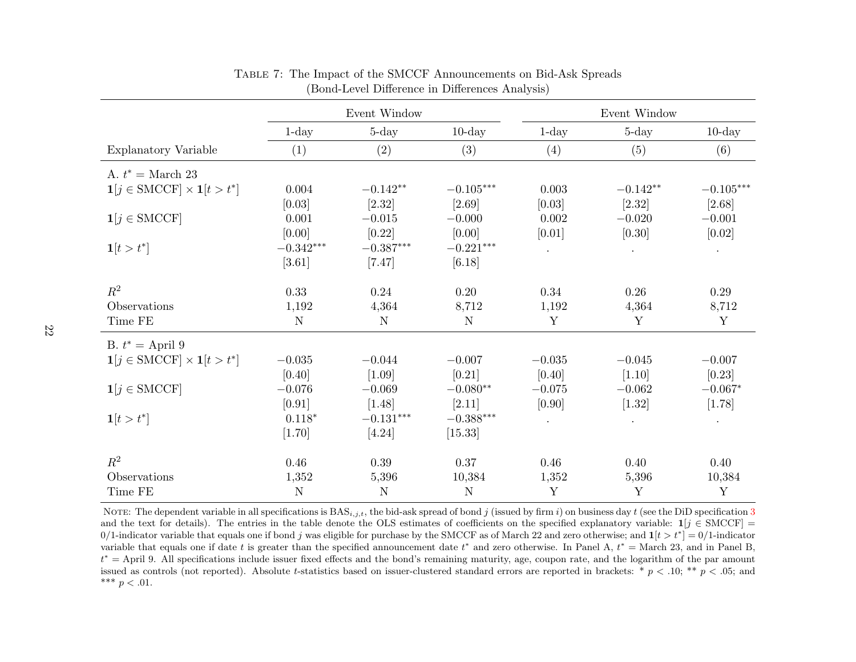|                                                             |             | Event Window |             |                      | Event Window |             |
|-------------------------------------------------------------|-------------|--------------|-------------|----------------------|--------------|-------------|
|                                                             | $1$ -day    | $5 - day$    | $10$ -day   | $1$ -day             | $5 - day$    | $10$ -day   |
| Explanatory Variable                                        | (1)         | (2)          | (3)         | (4)                  | (5)          | (6)         |
| A. $t^* = \text{March } 23$                                 |             |              |             |                      |              |             |
| $\mathbf{1}[j \in \text{SMCCF}] \times \mathbf{1}[t > t^*]$ | 0.004       | $-0.142**$   | $-0.105***$ | 0.003                | $-0.142**$   | $-0.105***$ |
|                                                             | [0.03]      | $[2.32]$     | [2.69]      | [0.03]               | $[2.32]$     | [2.68]      |
| $\mathbf{1}[j \in \text{SMCCF}]$                            | 0.001       | $-0.015$     | $-0.000$    | 0.002                | $-0.020$     | $-0.001$    |
|                                                             | [0.00]      | $[0.22]$     | [0.00]      | [0.01]               | [0.30]       | [0.02]      |
| $1[t > t^*]$                                                | $-0.342***$ | $-0.387***$  | $-0.221***$ | $\ddot{\phantom{a}}$ | $\bullet$    | $\bullet$   |
|                                                             | $[3.61]$    | $[7.47]$     | [6.18]      |                      |              |             |
| $\mathbb{R}^2$                                              | 0.33        | 0.24         | 0.20        | 0.34                 | 0.26         | 0.29        |
| Observations                                                | 1,192       | 4,364        | 8,712       | 1,192                | 4,364        | 8,712       |
| Time FE                                                     | $\mathbf N$ | ${\rm N}$    | $\mathbf N$ | $\mathbf Y$          | $\mathbf Y$  | $\mathbf Y$ |
| B. $t^* =$ April 9                                          |             |              |             |                      |              |             |
| $\mathbf{1}[j \in \text{SMCCF}] \times \mathbf{1}[t > t^*]$ | $-0.035$    | $-0.044$     | $-0.007$    | $-0.035$             | $-0.045$     | $-0.007$    |
|                                                             | [0.40]      | $[1.09]$     | [0.21]      | [0.40]               | [1.10]       | [0.23]      |
| $\mathbf{1}[j \in \text{SMCCF}]$                            | $-0.076$    | $-0.069$     | $-0.080**$  | $-0.075$             | $-0.062$     | $-0.067*$   |
|                                                             | [0.91]      | $[1.48]$     | [2.11]      | [0.90]               | [1.32]       | [1.78]      |
| $1[t > t^*]$                                                | $0.118*$    | $-0.131***$  | $-0.388***$ |                      | $\bullet$    | $\bullet$   |
|                                                             | [1.70]      | $[4.24]$     | [15.33]     |                      |              |             |
| $R^2$                                                       | 0.46        | 0.39         | 0.37        | 0.46                 | 0.40         | 0.40        |
| Observations                                                | 1,352       | 5,396        | 10,384      | 1,352                | 5,396        | 10,384      |
| Time FE                                                     | $\mathbf N$ | $\mathbf N$  | $\mathbf N$ | Y                    | $\mathbf Y$  | Y           |

Table 7: The Impact of the SMCCF Announcements on Bid-Ask Spreads (Bond-Level Difference in Differences Analysis)

<span id="page-22-0"></span>NOTE: The dependent variable in all specifications is BAS<sub>*i,j,t*</sub>, the bid-ask spread of bond j (issued by firm i) on business day t (see the DiD specification [3](#page-19-2)<br>and the test for details). The entries in the table denote and the text for details). The entries in the table denote the OLS estimates of coefficients on the specified explanatory variable:  $\mathbf{1}[j \in \text{SMCCF}] =$ 0/1-indicator variable that equals one if bond j was eligible for purchase by the SMCCF as of March 22 and zero otherwise; and  $\mathbf{1}[t > t^*] = 0/1$ -indicator variable that equals one if date t is greater than the specified announcement date  $t^*$  and zero otherwise. In Panel A,  $t^* =$  March 23, and in Panel B,  $t<sup>*</sup>$  = April 9. All specifications include issuer fixed effects and the bond's remaining maturity, age, coupon rate, and the logarithm of the par amount issued as controls (not reported). Absolute t-statistics based on issuer-clustered standard errors are reported in brackets: \*  $p < .10$ ; \*\*  $p < .05$ ; and \*\*\*  $p < .01$ .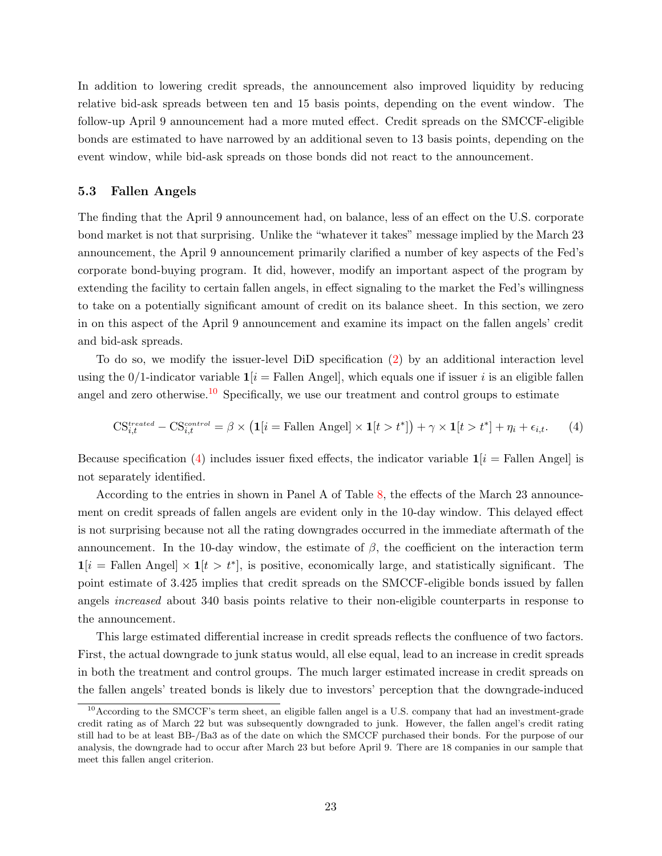In addition to lowering credit spreads, the announcement also improved liquidity by reducing relative bid-ask spreads between ten and 15 basis points, depending on the event window. The follow-up April 9 announcement had a more muted effect. Credit spreads on the SMCCF-eligible bonds are estimated to have narrowed by an additional seven to 13 basis points, depending on the event window, while bid-ask spreads on those bonds did not react to the announcement.

#### 5.3 Fallen Angels

The finding that the April 9 announcement had, on balance, less of an effect on the U.S. corporate bond market is not that surprising. Unlike the "whatever it takes" message implied by the March 23 announcement, the April 9 announcement primarily clarified a number of key aspects of the Fed's corporate bond-buying program. It did, however, modify an important aspect of the program by extending the facility to certain fallen angels, in effect signaling to the market the Fed's willingness to take on a potentially significant amount of credit on its balance sheet. In this section, we zero in on this aspect of the April 9 announcement and examine its impact on the fallen angels' credit and bid-ask spreads.

To do so, we modify the issuer-level DiD specification [\(2\)](#page-17-0) by an additional interaction level using the 0/1-indicator variable  $1[i]$  = Fallen Angel, which equals one if issuer i is an eligible fallen angel and zero otherwise.<sup>[10](#page-26-1)</sup> Specifically, we use our treatment and control groups to estimate

<span id="page-23-0"></span>
$$
\text{CS}_{i,t}^{treated} - \text{CS}_{i,t}^{control} = \beta \times \left( \mathbf{1}[i = \text{Fallen Angel}] \times \mathbf{1}[t > t^*] \right) + \gamma \times \mathbf{1}[t > t^*] + \eta_i + \epsilon_{i,t}.\tag{4}
$$

Because specification [\(4\)](#page-23-0) includes issuer fixed effects, the indicator variable  $\mathbf{1}[i]$  = Fallen Angel is not separately identified.

According to the entries in shown in Panel A of Table [8,](#page-24-0) the effects of the March 23 announcement on credit spreads of fallen angels are evident only in the 10-day window. This delayed effect is not surprising because not all the rating downgrades occurred in the immediate aftermath of the announcement. In the 10-day window, the estimate of  $\beta$ , the coefficient on the interaction term  $\mathbf{1}[i] = \text{Fallen Angel} \times \mathbf{1}[t] > t^*$ , is positive, economically large, and statistically significant. The point estimate of 3.425 implies that credit spreads on the SMCCF-eligible bonds issued by fallen angels increased about 340 basis points relative to their non-eligible counterparts in response to the announcement.

This large estimated differential increase in credit spreads reflects the confluence of two factors. First, the actual downgrade to junk status would, all else equal, lead to an increase in credit spreads in both the treatment and control groups. The much larger estimated increase in credit spreads on the fallen angels' treated bonds is likely due to investors' perception that the downgrade-induced

<sup>&</sup>lt;sup>10</sup>According to the SMCCF's term sheet, an eligible fallen angel is a U.S. company that had an investment-grade credit rating as of March 22 but was subsequently downgraded to junk. However, the fallen angel's credit rating still had to be at least BB-/Ba3 as of the date on which the SMCCF purchased their bonds. For the purpose of our analysis, the downgrade had to occur after March 23 but before April 9. There are 18 companies in our sample that meet this fallen angel criterion.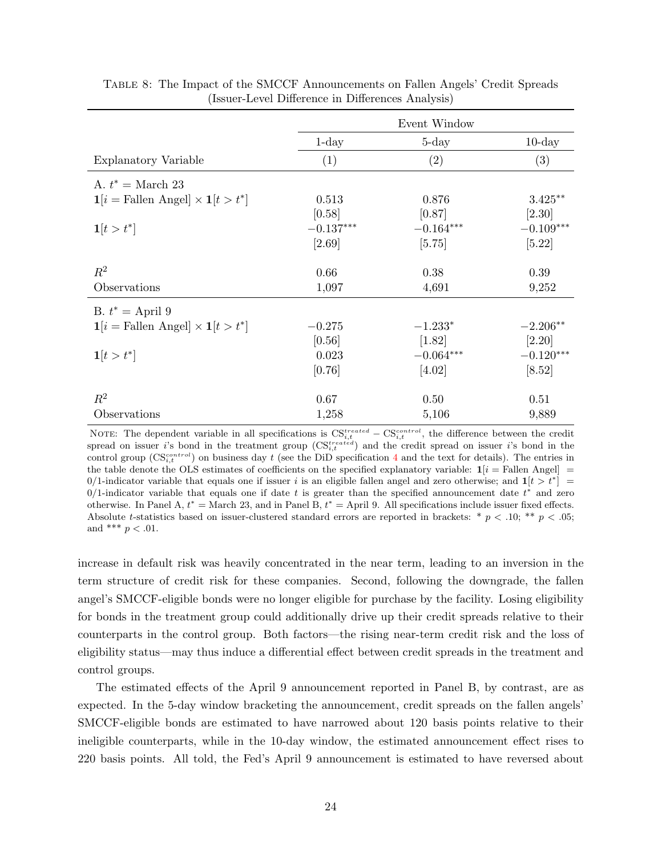|                                                                  |             | Event Window |             |
|------------------------------------------------------------------|-------------|--------------|-------------|
|                                                                  | $1$ -day    | $5$ -day     | $10$ -day   |
| <b>Explanatory Variable</b>                                      | (1)         | (2)          | (3)         |
| A. $t^* = \text{March } 23$                                      |             |              |             |
| $\mathbf{1}[i = \text{Fallen Angel}] \times \mathbf{1}[t > t^*]$ | 0.513       | 0.876        | $3.425**$   |
|                                                                  | [0.58]      | [0.87]       | $[2.30]$    |
| $1[t > t^*]$                                                     | $-0.137***$ | $-0.164***$  | $-0.109***$ |
|                                                                  | [2.69]      | [5.75]       | [5.22]      |
| $R^2$                                                            | 0.66        | 0.38         | 0.39        |
| Observations                                                     | 1,097       | 4,691        | 9,252       |
| B. $t^* =$ April 9                                               |             |              |             |
| $\mathbf{1}[i = \text{Fallen Angel}] \times \mathbf{1}[t > t^*]$ | $-0.275$    | $-1.233*$    | $-2.206**$  |
|                                                                  | [0.56]      | $[1.82]$     | $[2.20]$    |
| $1[t > t^*]$                                                     | 0.023       | $-0.064***$  | $-0.120***$ |
|                                                                  | [0.76]      | [4.02]       | $[8.52]$    |
| $\,R^2$                                                          | 0.67        | 0.50         | 0.51        |
| Observations                                                     | 1,258       | 5,106        | 9,889       |

<span id="page-24-0"></span>

| TABLE 8: The Impact of the SMCCF Announcements on Fallen Angels' Credit Spreads |  |  |                                                   |  |  |  |
|---------------------------------------------------------------------------------|--|--|---------------------------------------------------|--|--|--|
|                                                                                 |  |  | (Issuer-Level Difference in Differences Analysis) |  |  |  |

NOTE: The dependent variable in all specifications is  $CS_{i,t}^{treated} - CS_{i,t}^{control}$ , the difference between the credit spread on issuer i's bond in the treatment group  $(\text{CS}_{i,t}^{treated})$  and the credit spread on issuer i's bond in the control group  $(\text{CS}_{i,t}^{control})$  on business day t (see the DiD specification [4](#page-23-0) and the text for details). The entries in the table denote the OLS estimates of coefficients on the specified explanatory variable:  $\mathbf{1}[i]$  = Fallen Angel] = 0/1-indicator variable that equals one if issuer i is an eligible fallen angel and zero otherwise; and  $1[t > t^*]$  = 0/1-indicator variable that equals one if date t is greater than the specified announcement date  $t^*$  and zero otherwise. In Panel A,  $t^* =$  March 23, and in Panel B,  $t^* =$  April 9. All specifications include issuer fixed effects. Absolute t-statistics based on issuer-clustered standard errors are reported in brackets: \*  $p < .10$ ; \*\*  $p < .05$ ; and \*\*\*  $p < .01$ .

increase in default risk was heavily concentrated in the near term, leading to an inversion in the term structure of credit risk for these companies. Second, following the downgrade, the fallen angel's SMCCF-eligible bonds were no longer eligible for purchase by the facility. Losing eligibility for bonds in the treatment group could additionally drive up their credit spreads relative to their counterparts in the control group. Both factors—the rising near-term credit risk and the loss of eligibility status—may thus induce a differential effect between credit spreads in the treatment and control groups.

The estimated effects of the April 9 announcement reported in Panel B, by contrast, are as expected. In the 5-day window bracketing the announcement, credit spreads on the fallen angels' SMCCF-eligible bonds are estimated to have narrowed about 120 basis points relative to their ineligible counterparts, while in the 10-day window, the estimated announcement effect rises to 220 basis points. All told, the Fed's April 9 announcement is estimated to have reversed about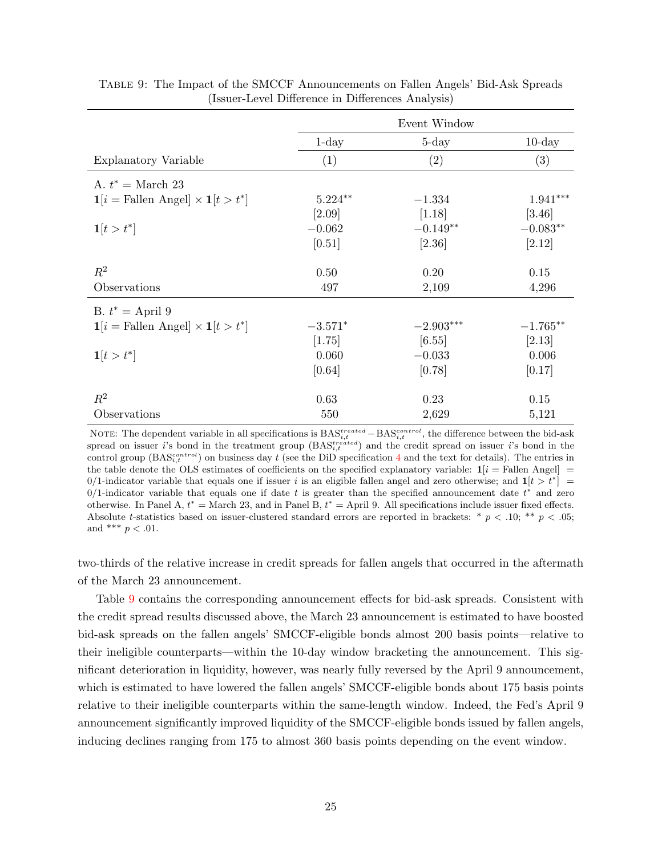|                                                                  |           | Event Window |                 |
|------------------------------------------------------------------|-----------|--------------|-----------------|
|                                                                  | $1$ -day  | $5$ -day     | $10$ -day       |
| Explanatory Variable                                             | (1)       | (2)          | (3)             |
| A. $t^* = \text{March } 23$                                      |           |              |                 |
| $\mathbf{1}[i = \text{Fallen Angel}] \times \mathbf{1}[t > t^*]$ | $5.224**$ | $-1.334$     | $1.941^{***}\,$ |
|                                                                  | $[2.09]$  | [1.18]       | [3.46]          |
| $1[t > t^*]$                                                     | $-0.062$  | $-0.149**$   | $-0.083**$      |
|                                                                  | [0.51]    | [2.36]       | [2.12]          |
| $R^2$                                                            | 0.50      | 0.20         | 0.15            |
| Observations                                                     | 497       | 2,109        | 4,296           |
| B. $t^* =$ April 9                                               |           |              |                 |
| $\mathbf{1}[i = \text{Fallen Angel}] \times \mathbf{1}[t > t^*]$ | $-3.571*$ | $-2.903***$  | $-1.765**$      |
|                                                                  | [1.75]    | [6.55]       | [2.13]          |
| $1[t > t^*]$                                                     | 0.060     | $-0.033$     | 0.006           |
|                                                                  | [0.64]    | [0.78]       | [0.17]          |
| $R^2$                                                            | 0.63      | 0.23         | 0.15            |
| Observations                                                     | 550       | 2,629        | 5,121           |

<span id="page-25-0"></span>Table 9: The Impact of the SMCCF Announcements on Fallen Angels' Bid-Ask Spreads (Issuer-Level Difference in Differences Analysis)

NOTE: The dependent variable in all specifications is  $BAS_{i,t}^{treated} - BAS_{i,t}^{control}$ , the difference between the bid-ask spread on issuer i's bond in the treatment group  $(BAS_{i,t}^{treated})$  and the credit spread on issuer i's bond in the control group ( $BAS_{i,t}^{control}$ ) on business day t (see the DiD specification [4](#page-23-0) and the text for details). The entries in the table denote the OLS estimates of coefficients on the specified explanatory variable:  $\mathbf{1}[i]$  = Fallen Angel] = 0/1-indicator variable that equals one if issuer i is an eligible fallen angel and zero otherwise; and  $1[t > t^*]$  = 0/1-indicator variable that equals one if date t is greater than the specified announcement date  $t^*$  and zero otherwise. In Panel A,  $t^* =$  March 23, and in Panel B,  $t^* =$  April 9. All specifications include issuer fixed effects. Absolute t-statistics based on issuer-clustered standard errors are reported in brackets: \*  $p < .10$ ; \*\*  $p < .05$ ; and \*\*\*  $p < .01$ .

two-thirds of the relative increase in credit spreads for fallen angels that occurred in the aftermath of the March 23 announcement.

Table [9](#page-25-0) contains the corresponding announcement effects for bid-ask spreads. Consistent with the credit spread results discussed above, the March 23 announcement is estimated to have boosted bid-ask spreads on the fallen angels' SMCCF-eligible bonds almost 200 basis points—relative to their ineligible counterparts—within the 10-day window bracketing the announcement. This significant deterioration in liquidity, however, was nearly fully reversed by the April 9 announcement, which is estimated to have lowered the fallen angels' SMCCF-eligible bonds about 175 basis points relative to their ineligible counterparts within the same-length window. Indeed, the Fed's April 9 announcement significantly improved liquidity of the SMCCF-eligible bonds issued by fallen angels, inducing declines ranging from 175 to almost 360 basis points depending on the event window.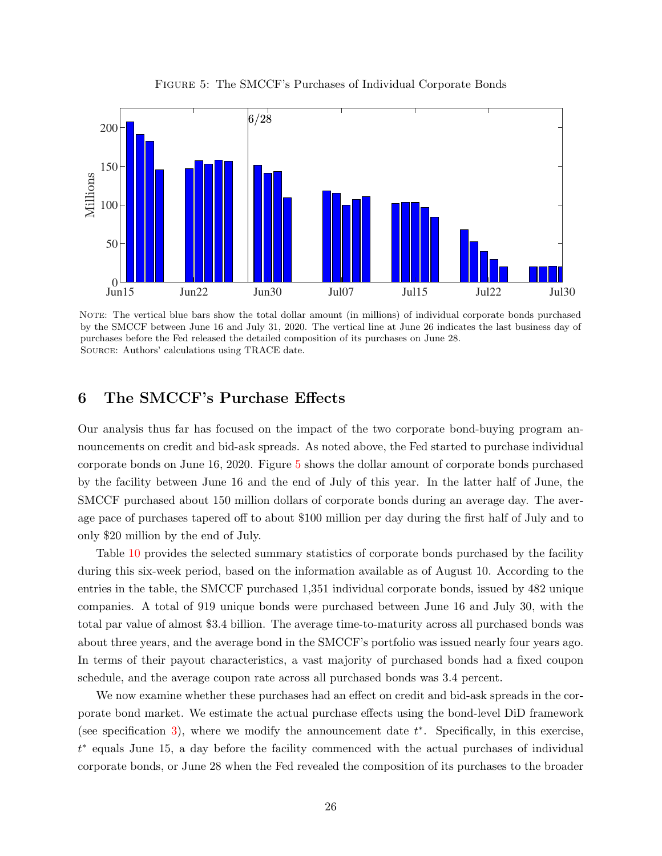<span id="page-26-2"></span>

Figure 5: The SMCCF's Purchases of Individual Corporate Bonds

<span id="page-26-1"></span>NOTE: The vertical blue bars show the total dollar amount (in millions) of individual corporate bonds purchased by the SMCCF between June 16 and July 31, 2020. The vertical line at June 26 indicates the last business day of purchases before the Fed released the detailed composition of its purchases on June 28. Source: Authors' calculations using TRACE date.

#### <span id="page-26-0"></span>6 The SMCCF's Purchase Effects

Our analysis thus far has focused on the impact of the two corporate bond-buying program announcements on credit and bid-ask spreads. As noted above, the Fed started to purchase individual corporate bonds on June 16, 2020. Figure [5](#page-26-2) shows the dollar amount of corporate bonds purchased by the facility between June 16 and the end of July of this year. In the latter half of June, the SMCCF purchased about 150 million dollars of corporate bonds during an average day. The average pace of purchases tapered off to about \$100 million per day during the first half of July and to only \$20 million by the end of July.

Table [10](#page-27-0) provides the selected summary statistics of corporate bonds purchased by the facility during this six-week period, based on the information available as of August 10. According to the entries in the table, the SMCCF purchased 1,351 individual corporate bonds, issued by 482 unique companies. A total of 919 unique bonds were purchased between June 16 and July 30, with the total par value of almost \$3.4 billion. The average time-to-maturity across all purchased bonds was about three years, and the average bond in the SMCCF's portfolio was issued nearly four years ago. In terms of their payout characteristics, a vast majority of purchased bonds had a fixed coupon schedule, and the average coupon rate across all purchased bonds was 3.4 percent.

We now examine whether these purchases had an effect on credit and bid-ask spreads in the corporate bond market. We estimate the actual purchase effects using the bond-level DiD framework (see specification [3\)](#page-19-1), where we modify the announcement date  $t^*$ . Specifically, in this exercise, t ∗ equals June 15, a day before the facility commenced with the actual purchases of individual corporate bonds, or June 28 when the Fed revealed the composition of its purchases to the broader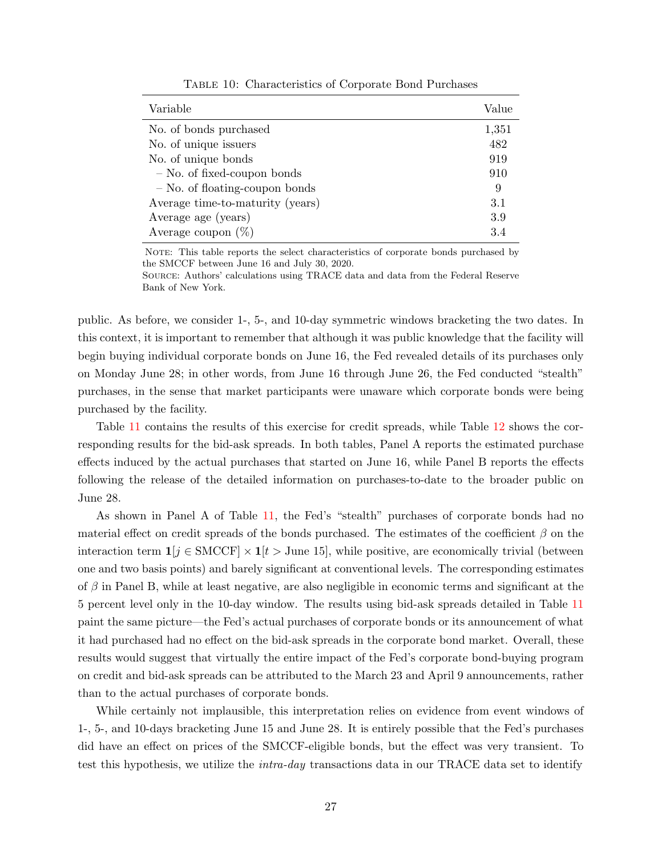<span id="page-27-0"></span>

| Variable                         | Value |
|----------------------------------|-------|
| No. of bonds purchased           | 1,351 |
| No. of unique issuers            | 482   |
| No. of unique bonds              | 919   |
| $-$ No. of fixed-coupon bonds    | 910   |
| - No. of floating-coupon bonds   | 9     |
| Average time-to-maturity (years) | 3.1   |
| Average age (years)              | 3.9   |
| Average coupon $(\%)$            | 3.4   |

Table 10: Characteristics of Corporate Bond Purchases

NOTE: This table reports the select characteristics of corporate bonds purchased by the SMCCF between June 16 and July 30, 2020.

Source: Authors' calculations using TRACE data and data from the Federal Reserve Bank of New York.

public. As before, we consider 1-, 5-, and 10-day symmetric windows bracketing the two dates. In this context, it is important to remember that although it was public knowledge that the facility will begin buying individual corporate bonds on June 16, the Fed revealed details of its purchases only on Monday June 28; in other words, from June 16 through June 26, the Fed conducted "stealth" purchases, in the sense that market participants were unaware which corporate bonds were being purchased by the facility.

Table [11](#page-28-0) contains the results of this exercise for credit spreads, while Table [12](#page-29-0) shows the corresponding results for the bid-ask spreads. In both tables, Panel A reports the estimated purchase effects induced by the actual purchases that started on June 16, while Panel B reports the effects following the release of the detailed information on purchases-to-date to the broader public on June 28.

As shown in Panel A of Table [11,](#page-28-0) the Fed's "stealth" purchases of corporate bonds had no material effect on credit spreads of the bonds purchased. The estimates of the coefficient  $\beta$  on the interaction term  $\mathbf{1}[j \in \text{SMCCF}] \times \mathbf{1}[t > \text{June 15}]$ , while positive, are economically trivial (between one and two basis points) and barely significant at conventional levels. The corresponding estimates of  $\beta$  in Panel B, while at least negative, are also negligible in economic terms and significant at the 5 percent level only in the 10-day window. The results using bid-ask spreads detailed in Table [11](#page-28-0) paint the same picture—the Fed's actual purchases of corporate bonds or its announcement of what it had purchased had no effect on the bid-ask spreads in the corporate bond market. Overall, these results would suggest that virtually the entire impact of the Fed's corporate bond-buying program on credit and bid-ask spreads can be attributed to the March 23 and April 9 announcements, rather than to the actual purchases of corporate bonds.

While certainly not implausible, this interpretation relies on evidence from event windows of 1-, 5-, and 10-days bracketing June 15 and June 28. It is entirely possible that the Fed's purchases did have an effect on prices of the SMCCF-eligible bonds, but the effect was very transient. To test this hypothesis, we utilize the *intra-day* transactions data in our TRACE data set to identify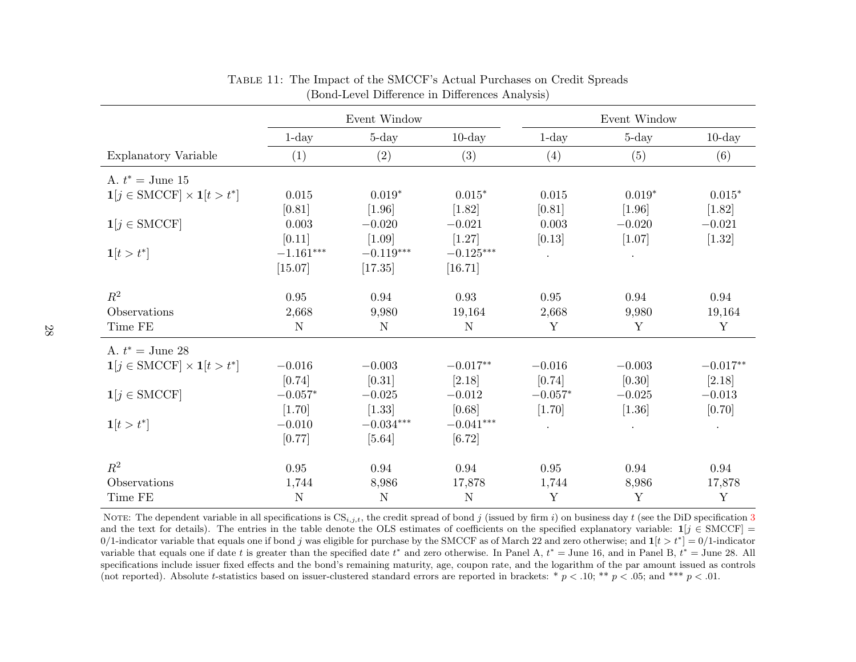|                                                             |             | Event Window |             |             | Event Window |            |
|-------------------------------------------------------------|-------------|--------------|-------------|-------------|--------------|------------|
|                                                             | $1$ -day    | $5 - day$    | $10$ -day   | $1$ -day    | $5$ -day     | $10$ -day  |
| Explanatory Variable                                        | (1)         | (2)          | (3)         | (4)         | (5)          | (6)        |
| A. $t^* =$ June 15                                          |             |              |             |             |              |            |
| $\mathbf{1}[j \in \text{SMCCF}] \times \mathbf{1}[t > t^*]$ | 0.015       | $0.019*$     | $0.015*$    | 0.015       | $0.019*$     | $0.015*$   |
|                                                             | [0.81]      | $[1.96]$     | $[1.82]$    | [0.81]      | $[1.96]$     | $[1.82]$   |
| $\mathbf{1}[j \in \text{SMCCF}]$                            | 0.003       | $-0.020$     | $-0.021$    | 0.003       | $-0.020$     | $-0.021$   |
|                                                             | [0.11]      | $[1.09]$     | $[1.27]$    | [0.13]      | [1.07]       | $[1.32]$   |
| $1[t > t^*]$                                                | $-1.161***$ | $-0.119***$  | $-0.125***$ | $\bullet$   | $\bullet$ .  |            |
|                                                             | [15.07]     | [17.35]      | [16.71]     |             |              |            |
| $R^2$                                                       | 0.95        | 0.94         | 0.93        | 0.95        | 0.94         | 0.94       |
| Observations                                                | 2,668       | 9,980        | 19,164      | 2,668       | 9,980        | 19,164     |
| Time FE                                                     | $\mathbf N$ | ${\rm N}$    | $\mathbf N$ | Y           | Y            | Y          |
| A. $t^* =$ June 28                                          |             |              |             |             |              |            |
| $\mathbf{1}[j \in \text{SMCCF}] \times \mathbf{1}[t > t^*]$ | $-0.016$    | $-0.003$     | $-0.017**$  | $-0.016$    | $-0.003$     | $-0.017**$ |
|                                                             | [0.74]      | [0.31]       | [2.18]      | [0.74]      | [0.30]       | [2.18]     |
| $1[j \in \text{SMCCF}]$                                     | $-0.057*$   | $-0.025$     | $-0.012$    | $-0.057*$   | $-0.025$     | $-0.013$   |
|                                                             | [1.70]      | $[1.33]$     | [0.68]      | $[1.70]$    | $[1.36]$     | [0.70]     |
| $1[t > t^*]$                                                | $-0.010$    | $-0.034***$  | $-0.041***$ | $\bullet$   | $\bullet$    | $\bullet$  |
|                                                             | [0.77]      | $[5.64]$     | [6.72]      |             |              |            |
| $R^2$                                                       | 0.95        | 0.94         | 0.94        | 0.95        | 0.94         | 0.94       |
| Observations                                                | 1,744       | 8,986        | 17,878      | 1,744       | 8,986        | 17,878     |
| Time FE                                                     | $\mathbf N$ | ${\rm N}$    | $\mathbf N$ | $\mathbf Y$ | Y            | Y          |

Table 11: The Impact of the SMCCF's Actual Purchases on Credit Spreads (Bond-Level Difference in Differences Analysis)

<span id="page-28-0"></span>NOTE: The dependent variable in all specifications is  $CS_{i,j,t}$ , the credit spread of bond j (issued by firm i) on business day t (see the DiD specification [3](#page-19-2) and the text for details). The entries in the table denote the OLS estimates of coefficients on the specified explanatory variable:  $\mathbf{1}[j \in \text{SMCCF}] =$ 0/1-indicator variable that equals one if bond j was eligible for purchase by the SMCCF as of March 22 and zero otherwise; and  $\mathbf{1}[t > t^*] = 0/1$ -indicator variable that equals one if date t is greater than the specified date  $t^*$  and zero otherwise. In Panel A,  $t^* =$  June 16, and in Panel B,  $t^* =$  June 28. All specifications include issuer fixed effects and the bond's remaining maturity, age, coupon rate, and the logarithm of the par amount issued as controls (not reported). Absolute t-statistics based on issuer-clustered standard errors are reported in brackets:  $* p < .10; ** p < .05$ ; and  $*** p < .01$ .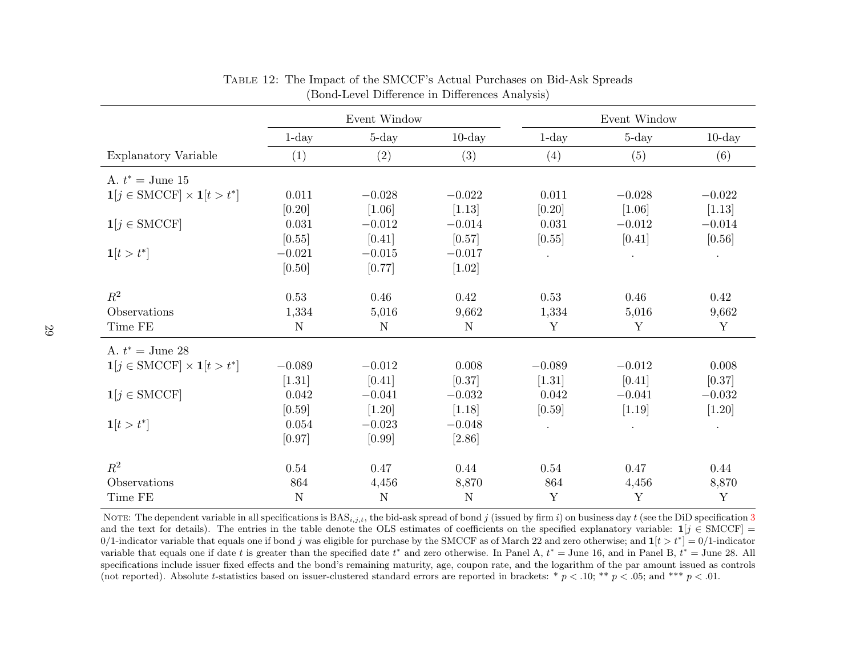|                                                             | Event Window |             |             | Event Window |           |           |
|-------------------------------------------------------------|--------------|-------------|-------------|--------------|-----------|-----------|
|                                                             | $1$ -day     | $5 - day$   | $10$ -day   | $1$ -day     | $5$ -day  | $10$ -day |
| Explanatory Variable                                        | (1)          | (2)         | (3)         | (4)          | (5)       | (6)       |
| A. $t^* =$ June 15                                          |              |             |             |              |           |           |
| $\mathbf{1}[j \in \text{SMCCF}] \times \mathbf{1}[t > t^*]$ | 0.011        | $-0.028$    | $-0.022$    | 0.011        | $-0.028$  | $-0.022$  |
|                                                             | [0.20]       | [1.06]      | [1.13]      | [0.20]       | $[1.06]$  | $[1.13]$  |
| $\mathbf{1}[j \in \text{SMCCF}]$                            | 0.031        | $-0.012$    | $-0.014$    | 0.031        | $-0.012$  | $-0.014$  |
|                                                             | [0.55]       | [0.41]      | $[0.57]$    | [0.55]       | [0.41]    | [0.56]    |
| $1[t > t^*]$                                                | $-0.021$     | $-0.015$    | $-0.017$    | $\bullet$    | $\bullet$ | $\bullet$ |
|                                                             | [0.50]       | [0.77]      | $[1.02]$    |              |           |           |
|                                                             |              |             |             |              |           |           |
| $\mathbb{R}^2$                                              | 0.53         | 0.46        | 0.42        | 0.53         | 0.46      | 0.42      |
| Observations                                                | 1,334        | 5,016       | 9,662       | 1,334        | 5,016     | 9,662     |
| Time FE                                                     | $\mathbf N$  | ${\rm N}$   | ${\rm N}$   | Y            | Y         | Y         |
| A. $t^* =$ June 28                                          |              |             |             |              |           |           |
| $\mathbf{1}[j \in \text{SMCCF}] \times \mathbf{1}[t > t^*]$ | $-0.089$     | $-0.012$    | 0.008       | $-0.089$     | $-0.012$  | 0.008     |
|                                                             | $[1.31]$     | [0.41]      | $[0.37]$    | $[1.31]$     | [0.41]    | [0.37]    |
| $\mathbf{1}[j \in \text{SMCCF}]$                            | 0.042        | $-0.041$    | $-0.032$    | 0.042        | $-0.041$  | $-0.032$  |
|                                                             | [0.59]       | $[1.20]$    | [1.18]      | [0.59]       | $[1.19]$  | $[1.20]$  |
| $1[t > t^*]$                                                | 0.054        | $-0.023$    | $-0.048$    | $\bullet$    | $\bullet$ | $\bullet$ |
|                                                             | [0.97]       | [0.99]      | [2.86]      |              |           |           |
| $\mathbb{R}^2$                                              | 0.54         | 0.47        | 0.44        | 0.54         | 0.47      | 0.44      |
| Observations                                                | 864          | 4,456       | 8,870       | 864          | 4,456     | 8,870     |
| Time FE                                                     | $\mathbf N$  | $\mathbf N$ | $\mathbf N$ | Y            | Y         | Y         |

Table 12: The Impact of the SMCCF's Actual Purchases on Bid-Ask Spreads (Bond-Level Difference in Differences Analysis)

<span id="page-29-0"></span>NOTE: The dependent variable in all specifications is BAS<sub>*i,j,t*</sub>, the bid-ask spread of bond j (issued by firm i) on business day t (see the DiD specification [3](#page-19-2)<br>and the test for details). The entries in the table denote and the text for details). The entries in the table denote the OLS estimates of coefficients on the specified explanatory variable:  $\mathbf{1}[j \in \text{SMCCF}] =$ 0/1-indicator variable that equals one if bond j was eligible for purchase by the SMCCF as of March 22 and zero otherwise; and  $\mathbf{1}[t > t^*] = 0/1$ -indicator variable that equals one if date t is greater than the specified date  $t^*$  and zero otherwise. In Panel A,  $t^* =$  June 16, and in Panel B,  $t^* =$  June 28. All specifications include issuer fixed effects and the bond's remaining maturity, age, coupon rate, and the logarithm of the par amount issued as controls (not reported). Absolute t-statistics based on issuer-clustered standard errors are reported in brackets:  $* p < .10; ** p < .05$ ; and  $*** p < .01$ .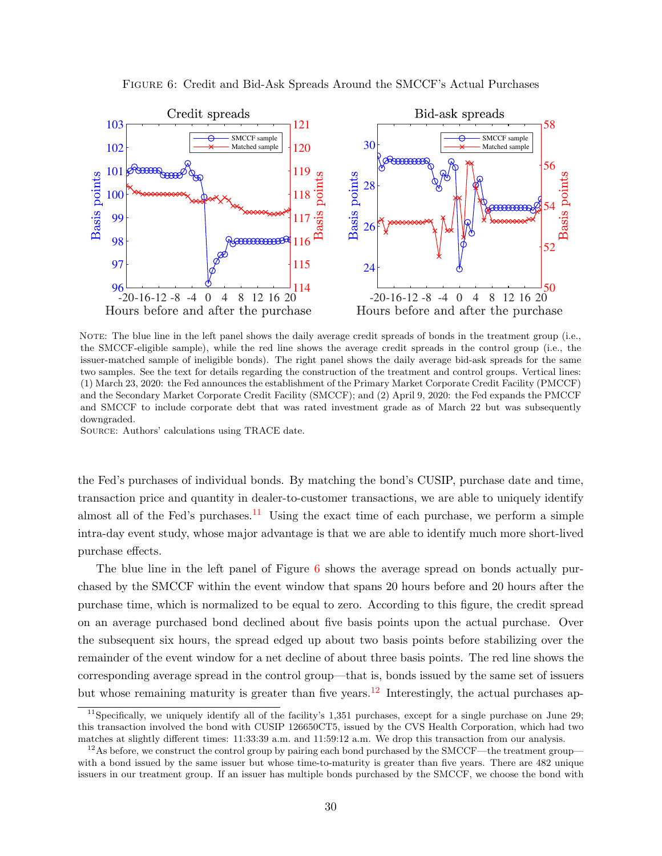<span id="page-30-1"></span>

Figure 6: Credit and Bid-Ask Spreads Around the SMCCF's Actual Purchases

NOTE: The blue line in the left panel shows the daily average credit spreads of bonds in the treatment group (i.e., the SMCCF-eligible sample), while the red line shows the average credit spreads in the control group (i.e., the issuer-matched sample of ineligible bonds). The right panel shows the daily average bid-ask spreads for the same two samples. See the text for details regarding the construction of the treatment and control groups. Vertical lines: (1) March 23, 2020: the Fed announces the establishment of the Primary Market Corporate Credit Facility (PMCCF) and the Secondary Market Corporate Credit Facility (SMCCF); and (2) April 9, 2020: the Fed expands the PMCCF and SMCCF to include corporate debt that was rated investment grade as of March 22 but was subsequently downgraded.

Source: Authors' calculations using TRACE date.

the Fed's purchases of individual bonds. By matching the bond's CUSIP, purchase date and time, transaction price and quantity in dealer-to-customer transactions, we are able to uniquely identify almost all of the Fed's purchases.<sup>[11](#page-30-0)</sup> Using the exact time of each purchase, we perform a simple intra-day event study, whose major advantage is that we are able to identify much more short-lived purchase effects.

The blue line in the left panel of Figure [6](#page-30-1) shows the average spread on bonds actually purchased by the SMCCF within the event window that spans 20 hours before and 20 hours after the purchase time, which is normalized to be equal to zero. According to this figure, the credit spread on an average purchased bond declined about five basis points upon the actual purchase. Over the subsequent six hours, the spread edged up about two basis points before stabilizing over the remainder of the event window for a net decline of about three basis points. The red line shows the corresponding average spread in the control group—that is, bonds issued by the same set of issuers but whose remaining maturity is greater than five years.<sup>[12](#page-30-2)</sup> Interestingly, the actual purchases ap-

<span id="page-30-0"></span><sup>&</sup>lt;sup>11</sup>Specifically, we uniquely identify all of the facility's 1,351 purchases, except for a single purchase on June 29; this transaction involved the bond with CUSIP 126650CT5, issued by the CVS Health Corporation, which had two matches at slightly different times: 11:33:39 a.m. and 11:59:12 a.m. We drop this transaction from our analysis.

<span id="page-30-2"></span> $12$ As before, we construct the control group by pairing each bond purchased by the SMCCF—the treatment group with a bond issued by the same issuer but whose time-to-maturity is greater than five years. There are 482 unique issuers in our treatment group. If an issuer has multiple bonds purchased by the SMCCF, we choose the bond with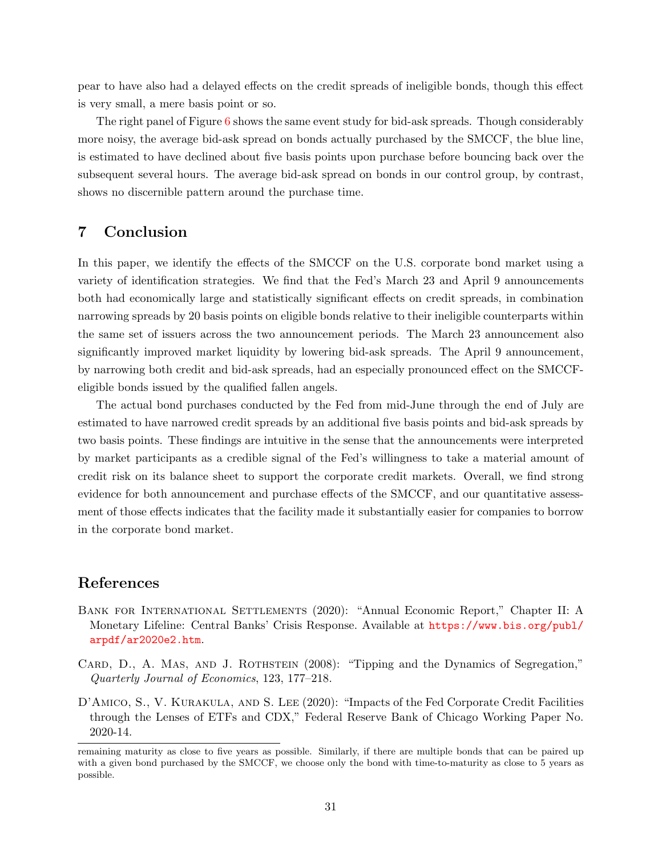pear to have also had a delayed effects on the credit spreads of ineligible bonds, though this effect is very small, a mere basis point or so.

The right panel of Figure [6](#page-30-1) shows the same event study for bid-ask spreads. Though considerably more noisy, the average bid-ask spread on bonds actually purchased by the SMCCF, the blue line, is estimated to have declined about five basis points upon purchase before bouncing back over the subsequent several hours. The average bid-ask spread on bonds in our control group, by contrast, shows no discernible pattern around the purchase time.

## <span id="page-31-2"></span>7 Conclusion

In this paper, we identify the effects of the SMCCF on the U.S. corporate bond market using a variety of identification strategies. We find that the Fed's March 23 and April 9 announcements both had economically large and statistically significant effects on credit spreads, in combination narrowing spreads by 20 basis points on eligible bonds relative to their ineligible counterparts within the same set of issuers across the two announcement periods. The March 23 announcement also significantly improved market liquidity by lowering bid-ask spreads. The April 9 announcement, by narrowing both credit and bid-ask spreads, had an especially pronounced effect on the SMCCFeligible bonds issued by the qualified fallen angels.

The actual bond purchases conducted by the Fed from mid-June through the end of July are estimated to have narrowed credit spreads by an additional five basis points and bid-ask spreads by two basis points. These findings are intuitive in the sense that the announcements were interpreted by market participants as a credible signal of the Fed's willingness to take a material amount of credit risk on its balance sheet to support the corporate credit markets. Overall, we find strong evidence for both announcement and purchase effects of the SMCCF, and our quantitative assessment of those effects indicates that the facility made it substantially easier for companies to borrow in the corporate bond market.

## References

- <span id="page-31-0"></span>Bank for International Settlements (2020): "Annual Economic Report," Chapter II: A Monetary Lifeline: Central Banks' Crisis Response. Available at [https://www.bis.org/publ/](https://www.bis.org/publ/arpdf/ar2020e2.htm) [arpdf/ar2020e2.htm](https://www.bis.org/publ/arpdf/ar2020e2.htm).
- <span id="page-31-3"></span>CARD, D., A. MAS, AND J. ROTHSTEIN (2008): "Tipping and the Dynamics of Segregation," Quarterly Journal of Economics, 123, 177–218.
- <span id="page-31-1"></span>D'AMICO, S., V. KURAKULA, AND S. LEE (2020): "Impacts of the Fed Corporate Credit Facilities through the Lenses of ETFs and CDX," Federal Reserve Bank of Chicago Working Paper No. 2020-14.

remaining maturity as close to five years as possible. Similarly, if there are multiple bonds that can be paired up with a given bond purchased by the SMCCF, we choose only the bond with time-to-maturity as close to 5 years as possible.